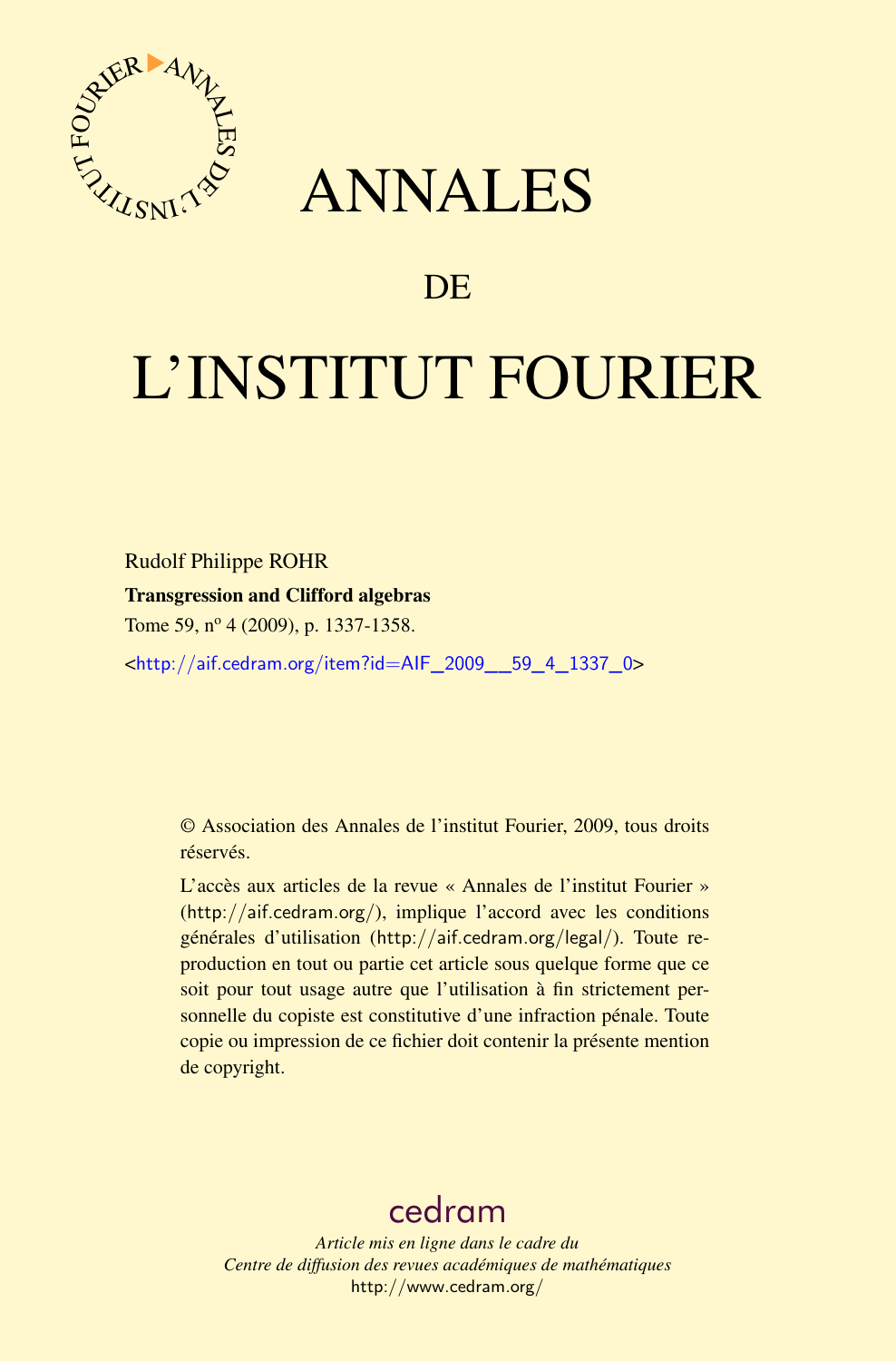

## ANNALES

### **DE**

# L'INSTITUT FOURIER

Rudolf Philippe ROHR

#### Transgression and Clifford algebras

Tome 59, nº 4 (2009), p. 1337-1358.

<[http://aif.cedram.org/item?id=AIF\\_2009\\_\\_59\\_4\\_1337\\_0](http://aif.cedram.org/item?id=AIF_2009__59_4_1337_0)>

© Association des Annales de l'institut Fourier, 2009, tous droits réservés.

L'accès aux articles de la revue « Annales de l'institut Fourier » (<http://aif.cedram.org/>), implique l'accord avec les conditions générales d'utilisation (<http://aif.cedram.org/legal/>). Toute reproduction en tout ou partie cet article sous quelque forme que ce soit pour tout usage autre que l'utilisation à fin strictement personnelle du copiste est constitutive d'une infraction pénale. Toute copie ou impression de ce fichier doit contenir la présente mention de copyright.

## [cedram](http://www.cedram.org/)

*Article mis en ligne dans le cadre du Centre de diffusion des revues académiques de mathématiques* <http://www.cedram.org/>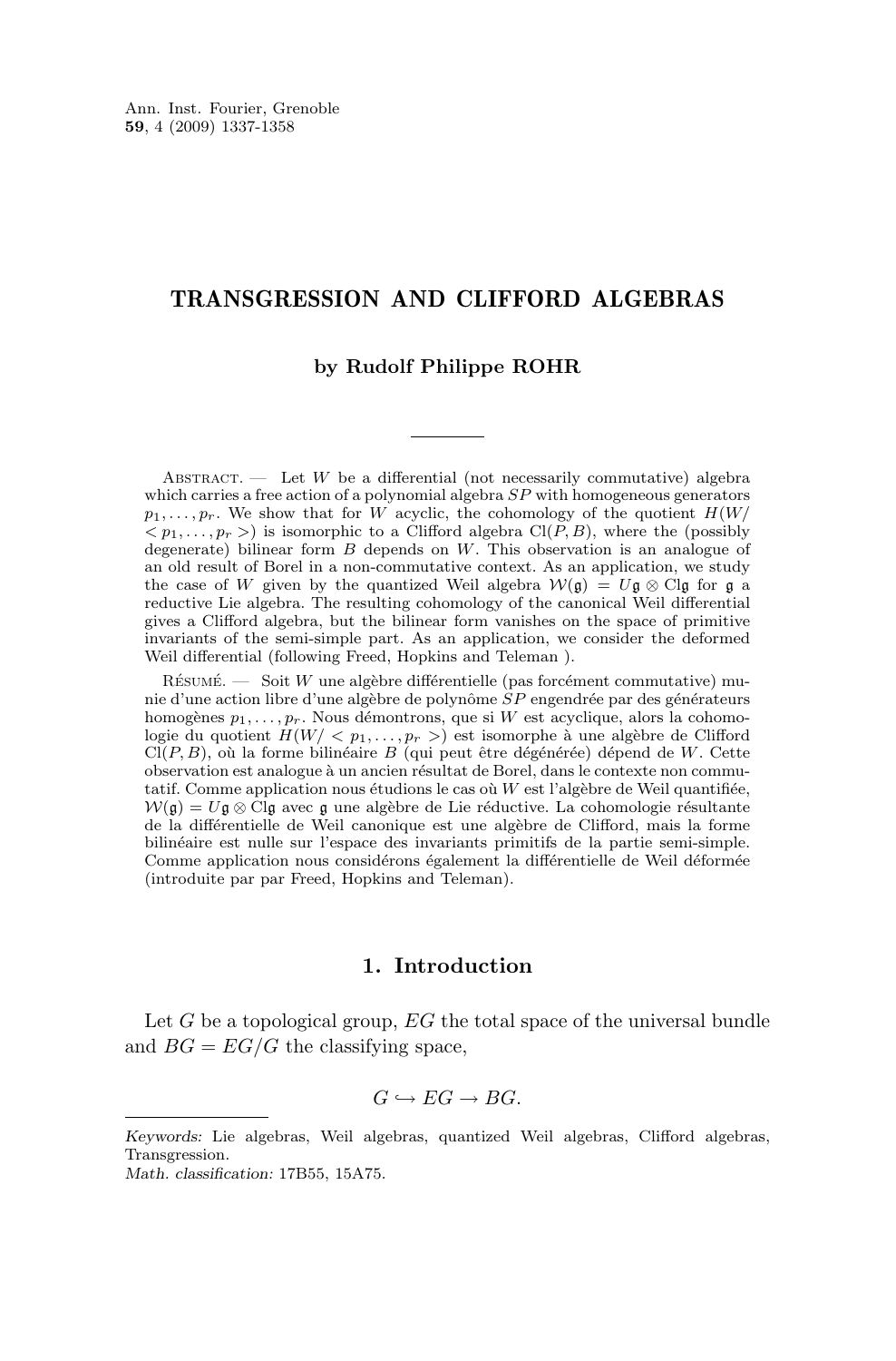#### TRANSGRESSION AND CLIFFORD ALGEBRAS

#### **by Rudolf Philippe ROHR**

ABSTRACT. — Let W be a differential (not necessarily commutative) algebra which carries a free action of a polynomial algebra  $SP$  with homogeneous generators  $p_1, \ldots, p_r$ . We show that for W acyclic, the cohomology of the quotient  $H(W)$  $\langle p_1, \ldots, p_r \rangle$  is isomorphic to a Clifford algebra Cl(P, B), where the (possibly degenerate) bilinear form  $B$  depends on  $W$ . This observation is an analogue of an old result of Borel in a non-commutative context. As an application, we study the case of W given by the quantized Weil algebra  $W(\mathfrak{g}) = U\mathfrak{g} \otimes \mathbb{C} \mathfrak{g}$  for  $\mathfrak{g}$  a reductive Lie algebra. The resulting cohomology of the canonical Weil differential gives a Clifford algebra, but the bilinear form vanishes on the space of primitive invariants of the semi-simple part. As an application, we consider the deformed Weil differential (following Freed, Hopkins and Teleman ).

Résumé. — Soit W une algèbre différentielle (pas forcément commutative) munie d'une action libre d'une algèbre de polynôme SP engendrée par des générateurs homogènes  $p_1, \ldots, p_r$ . Nous démontrons, que si W est acyclique, alors la cohomologie du quotient  $H(W < p_1, \ldots, p_r)$  est isomorphe à une algèbre de Clifford  $CI(P, B)$ , où la forme bilinéaire B (qui peut être dégénérée) dépend de W. Cette observation est analogue à un ancien résultat de Borel, dans le contexte non commutatif. Comme application nous étudions le cas où  $W$  est l'algèbre de Weil quantifiée,  $W(\mathfrak{g}) = U\mathfrak{g} \otimes \mathbb{C} \mathfrak{g}$  avec  $\mathfrak{g}$  une algèbre de Lie réductive. La cohomologie résultante de la différentielle de Weil canonique est une algèbre de Clifford, mais la forme bilinéaire est nulle sur l'espace des invariants primitifs de la partie semi-simple. Comme application nous considérons également la différentielle de Weil déformée (introduite par par Freed, Hopkins and Teleman).

#### **1. Introduction**

Let  $G$  be a topological group,  $EG$  the total space of the universal bundle and  $BG = EG/G$  the classifying space,

$$
G\hookrightarrow EG\rightarrow BG.
$$

*Keywords:* Lie algebras, Weil algebras, quantized Weil algebras, Clifford algebras, Transgression.

*Math. classification:* 17B55, 15A75.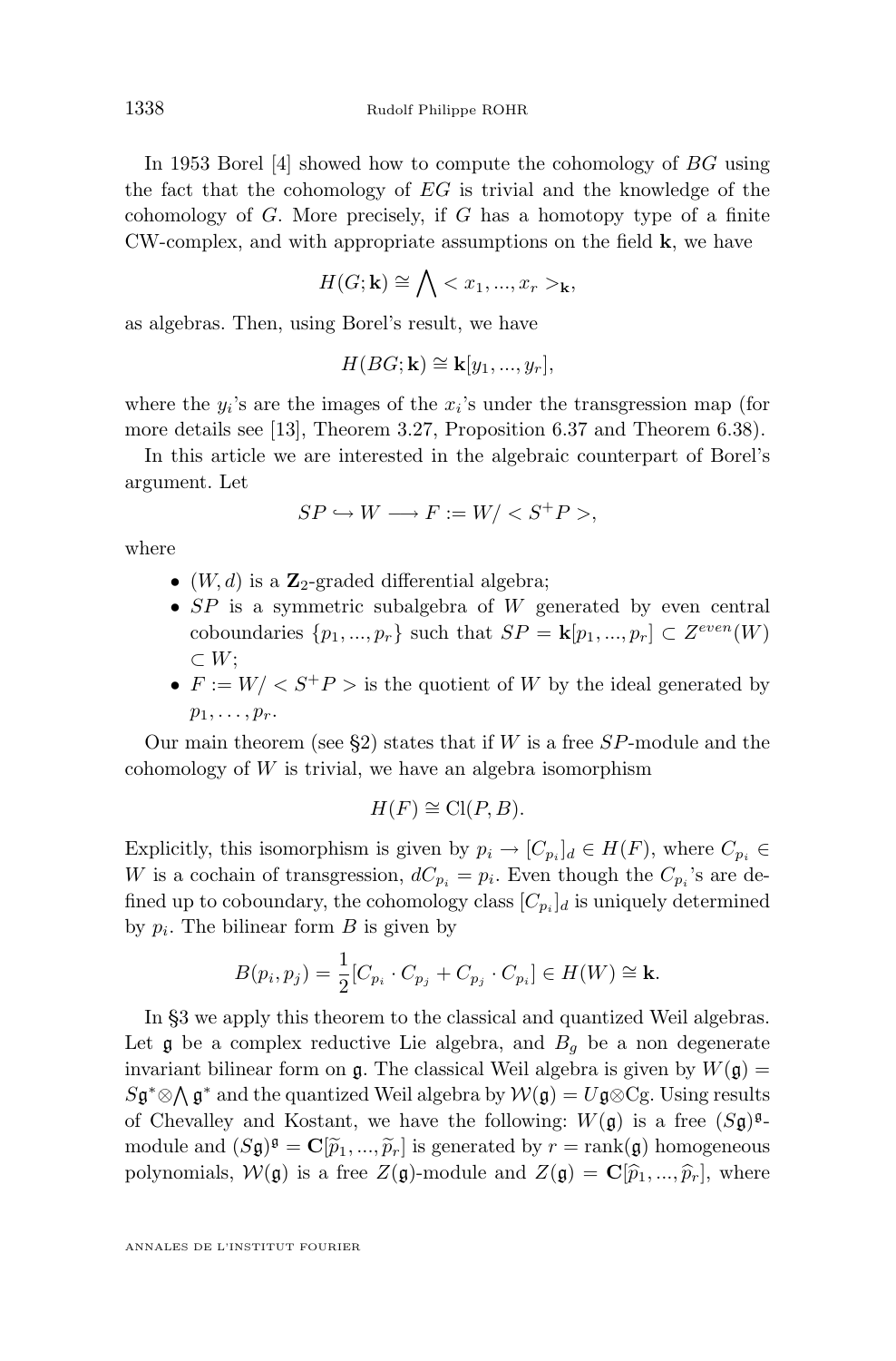In 1953 Borel [\[4\]](#page-21-0) showed how to compute the cohomology of BG using the fact that the cohomology of  $EG$  is trivial and the knowledge of the cohomology of  $G$ . More precisely, if  $G$  has a homotopy type of a finite CW-complex, and with appropriate assumptions on the field k, we have

$$
H(G; \mathbf{k}) \cong \bigwedge \langle x_1, ..., x_r \rangle_{\mathbf{k}},
$$

as algebras. Then, using Borel's result, we have

$$
H(BG; \mathbf{k}) \cong \mathbf{k}[y_1, ..., y_r],
$$

where the  $y_i$ 's are the images of the  $x_i$ 's under the transgression map (for more details see [\[13\]](#page-22-0), Theorem 3.27, Proposition 6.37 and Theorem 6.38).

In this article we are interested in the algebraic counterpart of Borel's argument. Let

$$
SP \hookrightarrow W \longrightarrow F := W / < S^+P >,
$$

where

- $(W, d)$  is a  $\mathbb{Z}_2$ -graded differential algebra;
- $SP$  is a symmetric subalgebra of  $W$  generated by even central coboundaries  $\{p_1, ..., p_r\}$  such that  $SP = \mathbf{k}[p_1, ..., p_r] \subset Z^{even}(W)$  $\subset W$ ;
- $F := W / \langle S^+P \rangle$  is the quotient of W by the ideal generated by  $p_1, \ldots, p_r$ .

Our main theorem (see  $\S2$ ) states that if W is a free SP-module and the cohomology of  $W$  is trivial, we have an algebra isomorphism

$$
H(F) \cong \text{Cl}(P, B).
$$

Explicitly, this isomorphism is given by  $p_i \to [C_{p_i}]_d \in H(F)$ , where  $C_{p_i} \in$ W is a cochain of transgression,  $dC_{p_i} = p_i$ . Even though the  $C_{p_i}$ 's are defined up to coboundary, the cohomology class  $[C_{p_i}]_d$  is uniquely determined by  $p_i$ . The bilinear form  $B$  is given by

$$
B(p_i, p_j) = \frac{1}{2} [C_{p_i} \cdot C_{p_j} + C_{p_j} \cdot C_{p_i}] \in H(W) \cong \mathbf{k}.
$$

In [§3](#page-9-0) we apply this theorem to the classical and quantized Weil algebras. Let  $\mathfrak g$  be a complex reductive Lie algebra, and  $B_q$  be a non degenerate invariant bilinear form on  $\mathfrak{g}$ . The classical Weil algebra is given by  $W(\mathfrak{g}) =$  $S\mathfrak{g}^*\otimes\bigwedge \mathfrak{g}^*$  and the quantized Weil algebra by  $\mathcal{W}(\mathfrak{g})=U\mathfrak{g}\otimes \mathrm{Cg}$ . Using results of Chevalley and Kostant, we have the following:  $W(\mathfrak{g})$  is a free  $(S\mathfrak{g})^{\mathfrak{g}}$ module and  $(S\mathfrak{g})^{\mathfrak{g}} = \mathbf{C}[\tilde{p}_1, ..., \tilde{p}_r]$  is generated by  $r = \text{rank}(\mathfrak{g})$  homogeneous<br>not measure  $N(\mathfrak{g})$  is a free  $Z(\mathfrak{g})$  module and  $Z(\mathfrak{g})$ .  $G[\hat{\mathfrak{g}}]$  as a unknown polynomials,  $W(\mathfrak{g})$  is a free  $Z(\mathfrak{g})$ -module and  $Z(\mathfrak{g}) = \mathbf{C}[\hat{p}_1, ..., \hat{p}_r],$  where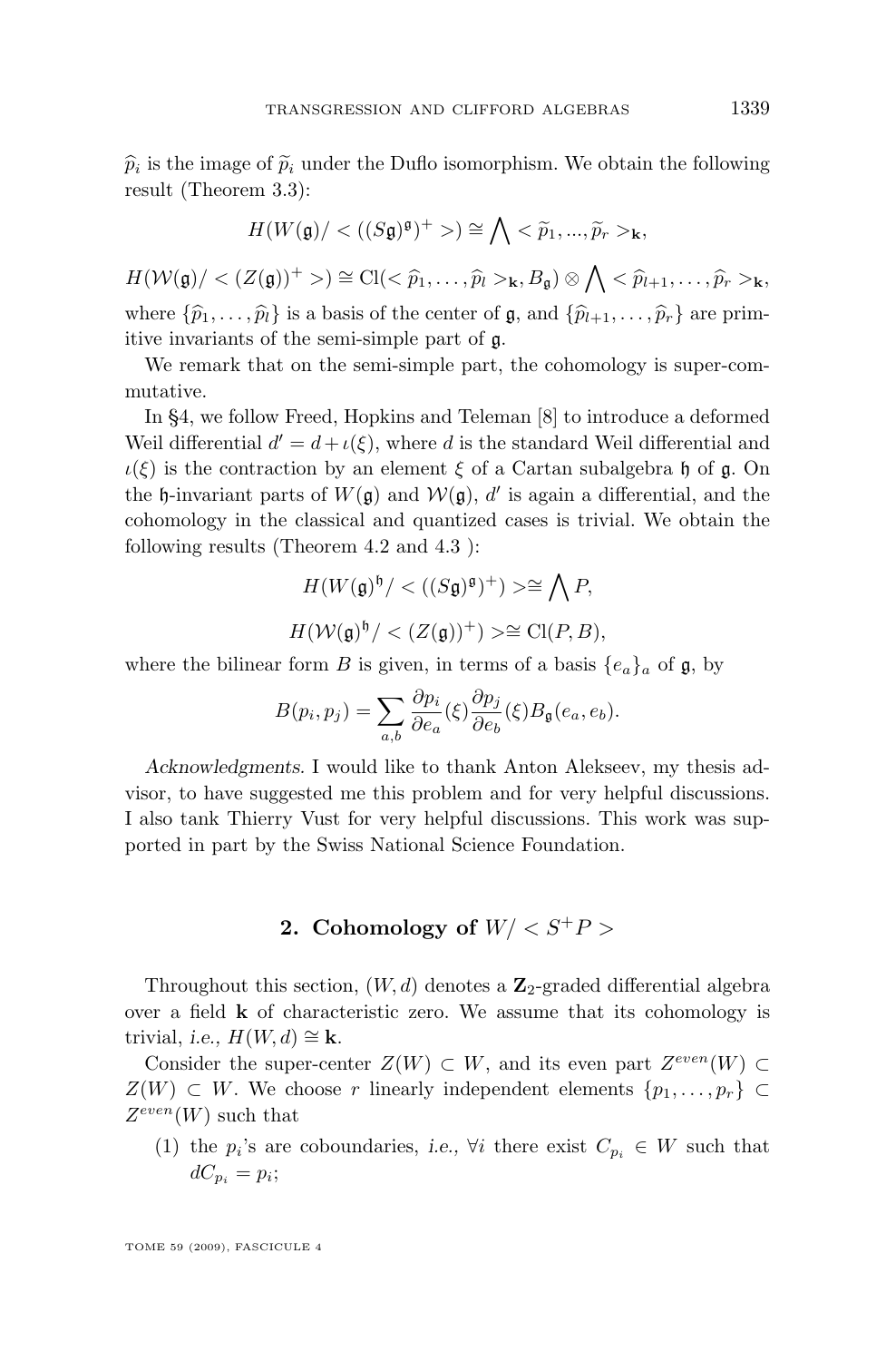<span id="page-3-0"></span> $\hat{p}_i$  is the image of  $\tilde{p}_i$  under the Duflo isomorphism. We obtain the following<br>result (Theorem 2.2). result (Theorem [3.3\)](#page-12-0):

$$
H(W(\mathfrak{g})/<((S\mathfrak{g})^{\mathfrak{g}})^{+}>)\cong \bigwedge <\widetilde{p}_1,...,\widetilde{p}_r>_{\mathbf{k}},
$$

 $H(\mathcal{W}(\mathfrak{g})/<(Z(\mathfrak{g}))^+>)\cong\mathrm{Cl}(<\widehat{p}_1,\ldots,\widehat{p}_l>_{\mathbf{k}},B_{\mathfrak{g}})\otimes\bigwedge<\widehat{p}_{l+1},\ldots,\widehat{p}_r>_{\mathbf{k}},$ where  $\{\widehat{p}_1, \ldots, \widehat{p}_l\}$  is a basis of the center of g, and  $\{\widehat{p}_{l+1}, \ldots, \widehat{p}_r\}$  are primitive invariants of the semi-simple part of g.

We remark that on the semi-simple part, the cohomology is super-commutative.

In [§4,](#page-13-0) we follow Freed, Hopkins and Teleman [\[8\]](#page-21-0) to introduce a deformed Weil differential  $d' = d + \iota(\xi)$ , where d is the standard Weil differential and  $\iota(\xi)$  is the contraction by an element  $\xi$  of a Cartan subalgebra h of g. On the  $\mathfrak h$ -invariant parts of  $W(\mathfrak g)$  and  $W(\mathfrak g)$ , d' is again a differential, and the cohomology in the classical and quantized cases is trivial. We obtain the following results (Theorem [4.2](#page-16-0) and [4.3](#page-16-0) ):

$$
H(W(\mathfrak{g})^{\mathfrak{h}}) < ((S\mathfrak{g})^{\mathfrak{g}})^+) \geq \geq \bigwedge P,
$$
\n
$$
H(\mathcal{W}(\mathfrak{g})^{\mathfrak{h}}) < (Z(\mathfrak{g}))^+) \geq \geq \text{Cl}(P, B),
$$

where the bilinear form B is given, in terms of a basis  ${e_a}_a$  of  $\mathfrak{g}$ , by

$$
B(p_i, p_j) = \sum_{a,b} \frac{\partial p_i}{\partial e_a}(\xi) \frac{\partial p_j}{\partial e_b}(\xi) B_{\mathfrak{g}}(e_a, e_b).
$$

*Acknowledgments.* I would like to thank Anton Alekseev, my thesis advisor, to have suggested me this problem and for very helpful discussions. I also tank Thierry Vust for very helpful discussions. This work was supported in part by the Swiss National Science Foundation.

#### **2.** Cohomology of  $W / \langle S^+P \rangle$

Throughout this section,  $(W, d)$  denotes a  $\mathbb{Z}_2$ -graded differential algebra over a field k of characteristic zero. We assume that its cohomology is trivial, *i.e.*,  $H(W, d) \cong \mathbf{k}$ .

Consider the super-center  $Z(W) \subset W$ , and its even part  $Z^{even}(W) \subset$  $Z(W) \subset W$ . We choose r linearly independent elements  $\{p_1, \ldots, p_r\} \subset$  $Z^{even}(W)$  such that

(1) the  $p_i$ 's are coboundaries, *i.e.*,  $\forall i$  there exist  $C_{p_i} \in W$  such that  $dC_{p_i}=p_i;$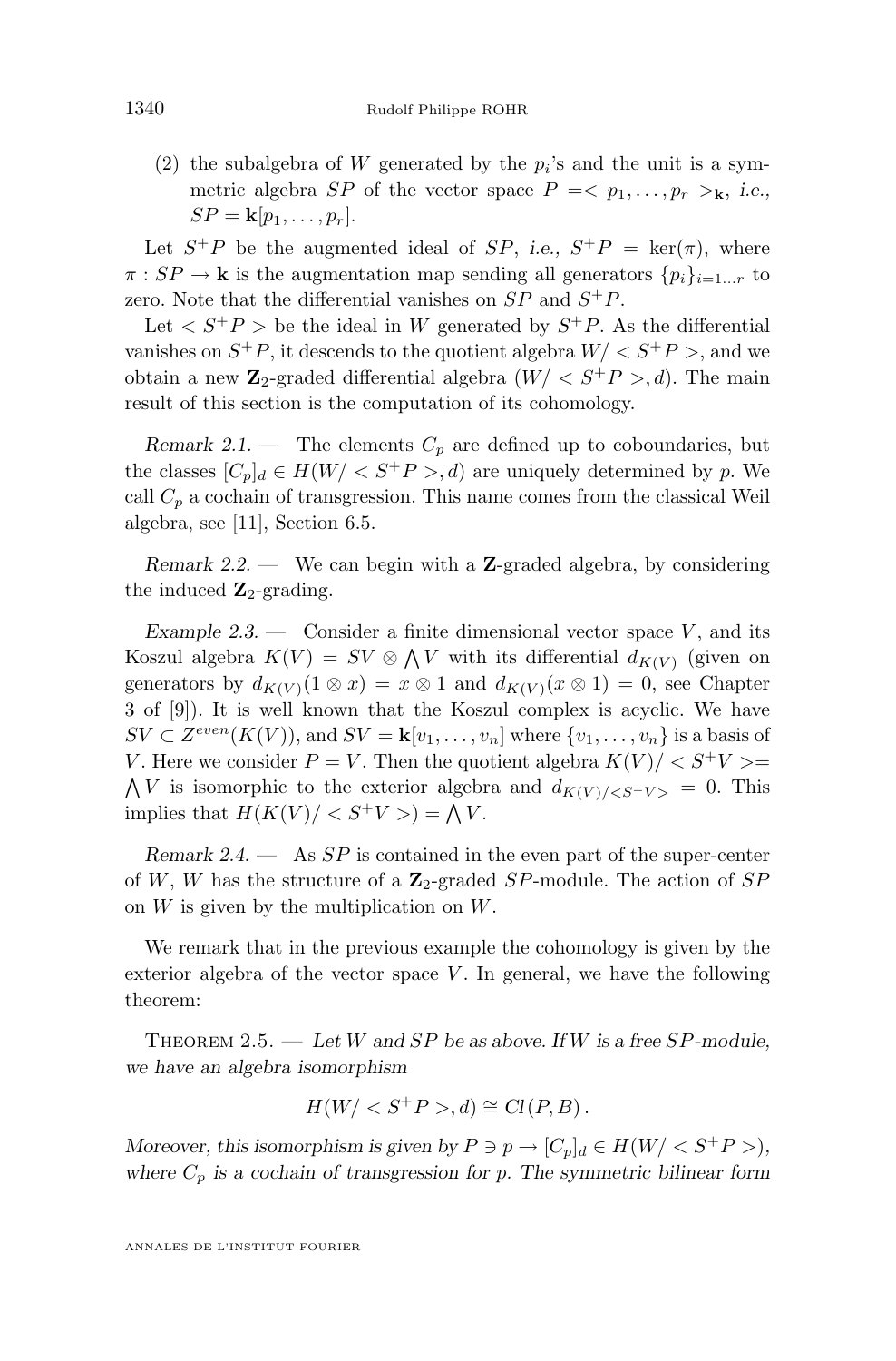<span id="page-4-0"></span>(2) the subalgebra of W generated by the  $p_i$ 's and the unit is a symmetric algebra *SP* of the vector space  $P = \langle p_1, \ldots, p_r \rangle_k$ , *i.e.*,  $SP = \mathbf{k}[p_1, \ldots, p_r].$ 

Let  $S^+P$  be the augmented ideal of  $SP$ , *i.e.*,  $S^+P = \text{ker}(\pi)$ , where  $\pi : SP \to \mathbf{k}$  is the augmentation map sending all generators  $\{p_i\}_{i=1...r}$  to zero. Note that the differential vanishes on  $SP$  and  $S^+P$ .

Let  $\langle S^+P \rangle$  be the ideal in W generated by  $S^+P$ . As the differential vanishes on  $S^+P$ , it descends to the quotient algebra  $W/<sub>S</sub><sup>+</sup>P$ , and we obtain a new  $\mathbb{Z}_2$ -graded differential algebra  $(W/ \langle S^+P \rangle, d)$ . The main result of this section is the computation of its cohomology.

*Remark 2.1.* — The elements  $C_p$  are defined up to coboundaries, but the classes  $[C_p]_d \in H(W/ $S^+P>$ , d) are uniquely determined by p. We$ call  $C_p$  a cochain of transgression. This name comes from the classical Weil algebra, see [\[11\]](#page-22-0), Section 6.5.

*Remark 2.2. —* We can begin with a Z-graded algebra, by considering the induced  $\mathbf{Z}_2$ -grading.

*Example 2.3.* — Consider a finite dimensional vector space V, and its Koszul algebra  $K(V) = SV \otimes \bigwedge V$  with its differential  $d_{K(V)}$  (given on generators by  $d_{K(V)}(1 \otimes x) = x \otimes 1$  and  $d_{K(V)}(x \otimes 1) = 0$ , see Chapter 3 of [\[9\]](#page-21-0)). It is well known that the Koszul complex is acyclic. We have  $SV \subset Z^{even}(K(V))$ , and  $SV = \mathbf{k}[v_1,\ldots,v_n]$  where  $\{v_1,\ldots,v_n\}$  is a basis of V. Here we consider  $P = V$ . Then the quotient algebra  $K(V)/\langle S^+V \rangle =$  $\bigwedge V$  is isomorphic to the exterior algebra and  $d_{K(V)/\leq S+V>} = 0$ . This implies that  $H(K(V)) < S^+V > = \bigwedge V$ .

*Remark 2.4. —* As SP is contained in the even part of the super-center of W, W has the structure of a  $\mathbb{Z}_2$ -graded SP-module. The action of SP on  $W$  is given by the multiplication on  $W$ .

We remark that in the previous example the cohomology is given by the exterior algebra of the vector space  $V$ . In general, we have the following theorem:

Theorem 2.5. — *Let* W *and* SP *be as above. If* W *is a free* SP*-module, we have an algebra isomorphism*

$$
H(W/,d)\cong Cl(P,B).
$$

*Moreover, this isomorphism is given by*  $P \ni p \rightarrow [C_p]_d \in H(W / \langle S^+ P \rangle)$ , where  $C_p$  is a cochain of transgression for p. The symmetric bilinear form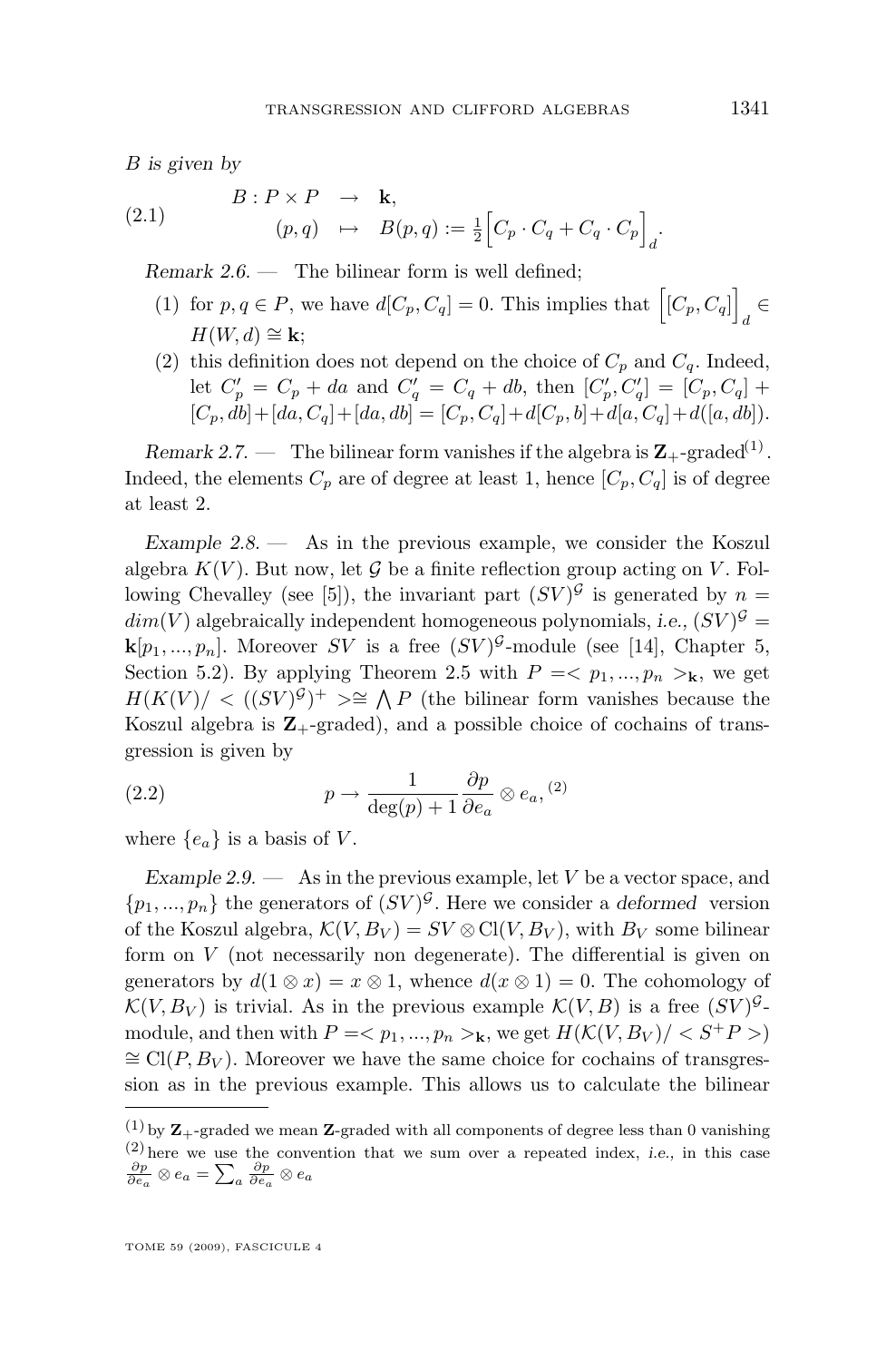<span id="page-5-0"></span>B *is given by*

(2.1) 
$$
B: P \times P \rightarrow \mathbf{k},
$$

$$
(p,q) \mapsto B(p,q) := \frac{1}{2} \Big[ C_p \cdot C_q + C_q \cdot C_p \Big]_d.
$$

*Remark 2.6. —* The bilinear form is well defined;

- (1) for  $p, q \in P$ , we have  $d[C_p, C_q] = 0$ . This implies that  $[[C_p, C_q]] \in$ d  $H(W, d) \cong \mathbf{k}$ :
- (2) this definition does not depend on the choice of  $C_p$  and  $C_q$ . Indeed, let  $C'_p = C_p + da$  and  $C'_q = C_q + db$ , then  $[C'_p, C'_q] = [C_p, C_q] +$  $[C_p, db] + [da, C_q] + [da, db] = [C_p, C_q] + d[C_p, b] + d[a, C_q] + d([a, db]).$

*Remark 2.7.* — The bilinear form vanishes if the algebra is  $\mathbb{Z}_{+}$ -graded<sup>(1)</sup>. Indeed, the elements  $C_p$  are of degree at least 1, hence  $[C_p, C_q]$  is of degree at least 2.

*Example 2.8. —* As in the previous example, we consider the Koszul algebra  $K(V)$ . But now, let  $\mathcal G$  be a finite reflection group acting on V. Fol-lowing Chevalley (see [\[5\]](#page-21-0)), the invariant part  $(SV)^{\mathcal{G}}$  is generated by  $n =$  $dim(V)$  algebraically independent homogeneous polynomials, *i.e.*,  $(SV)^{\mathcal{G}} =$  $\mathbf{k}[p_1,...,p_n]$ . Moreover SV is a free  $(SV)^{\mathcal{G}}$ -module (see [\[14\]](#page-22-0), Chapter 5, Section 5.2). By applying Theorem [2.5](#page-4-0) with  $P = \langle p_1, ..., p_n \rangle_k$ , we get  $H(K(V))$  <  $((SV)^{G})^{+} \geq \mathbb{R}$  A P (the bilinear form vanishes because the Koszul algebra is  $\mathbb{Z}_+$ -graded), and a possible choice of cochains of transgression is given by

(2.2) 
$$
p \to \frac{1}{\deg(p) + 1} \frac{\partial p}{\partial e_a} \otimes e_a, \text{(2)}
$$

where  $\{e_a\}$  is a basis of V.

*Example 2.9.* — As in the previous example, let V be a vector space, and  $\{p_1, ..., p_n\}$  the generators of  $(SV)^{\mathcal{G}}$ . Here we consider a *deformed* version of the Koszul algebra,  $\mathcal{K}(V, B_V) = SV \otimes \text{Cl}(V, B_V)$ , with  $B_V$  some bilinear form on V (not necessarily non degenerate). The differential is given on generators by  $d(1 \otimes x) = x \otimes 1$ , whence  $d(x \otimes 1) = 0$ . The cohomology of  $\mathcal{K}(V, B_V)$  is trivial. As in the previous example  $\mathcal{K}(V, B)$  is a free  $(SV)^{\mathcal{G}}$ module, and then with  $P = \langle p_1, ..., p_n \rangle_k$ , we get  $H(\mathcal{K}(V, B_V)/\langle S^+P \rangle_k)$  $\cong$  Cl(P,  $B_V$ ). Moreover we have the same choice for cochains of transgression as in the previous example. This allows us to calculate the bilinear

<sup>(1)</sup> by  $\mathbb{Z}_{+}$ -graded we mean  $\mathbb{Z}_{-}$  graded with all components of degree less than 0 vanishing (2) here we use the convention that we sum over a repeated index, *i.e.,* in this case  $\frac{\partial p}{\partial e_a} \otimes e_a = \sum_a \frac{\partial p}{\partial e_a} \otimes e_a$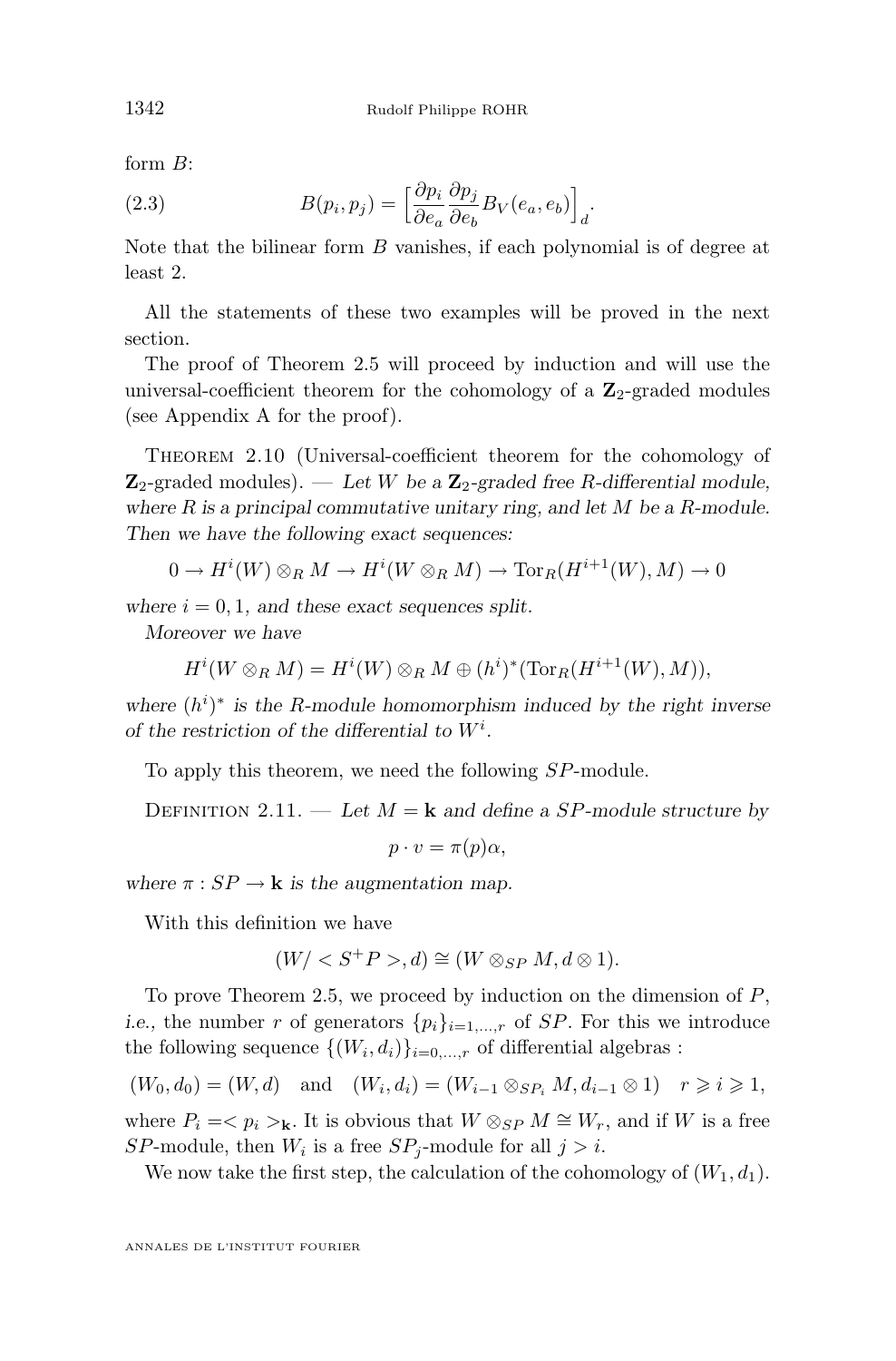<span id="page-6-0"></span>form B:

(2.3) 
$$
B(p_i, p_j) = \left[\frac{\partial p_i}{\partial e_a} \frac{\partial p_j}{\partial e_b} B_V(e_a, e_b)\right]_d.
$$

Note that the bilinear form  $B$  vanishes, if each polynomial is of degree at least 2.

All the statements of these two examples will be proved in the next section.

The proof of Theorem [2.5](#page-4-0) will proceed by induction and will use the universal-coefficient theorem for the cohomology of a  $\mathbb{Z}_2$ -graded modules (see Appendix [A](#page-17-0) for the proof).

Theorem 2.10 (Universal-coefficient theorem for the cohomology of  $\mathbb{Z}_2$ -graded modules). — Let W be a  $\mathbb{Z}_2$ -graded free R-differential module, *where* R *is a principal commutative unitary ring, and let* M *be a* R*-module. Then we have the following exact sequences:*

$$
0 \to H^i(W) \otimes_R M \to H^i(W \otimes_R M) \to \text{Tor}_R(H^{i+1}(W), M) \to 0
$$

where  $i = 0, 1$ , and these exact sequences split.

*Moreover we have*

$$
H^i(W\otimes_R M)=H^i(W)\otimes_R M\oplus (h^i)^*(\operatorname{Tor}_R(H^{i+1}(W),M)),
$$

where  $(h^i)^*$  is the R-module homomorphism induced by the right inverse *of the restriction of the differential to* W<sup>i</sup> *.*

To apply this theorem, we need the following SP-module.

DEFINITION 2.11. — Let  $M = \mathbf{k}$  and define a SP-module structure by

 $p \cdot v = \pi(p)\alpha$ ,

*where*  $\pi : SP \to \mathbf{k}$  *is the augmentation map.* 

With this definition we have

$$
(W/S+P>,d) \cong (W \otimes_{SP} M, d \otimes 1).
$$

To prove Theorem [2.5,](#page-4-0) we proceed by induction on the dimension of  $P$ , *i.e.*, the number r of generators  $\{p_i\}_{i=1,\dots,r}$  of SP. For this we introduce the following sequence  $\{(W_i, d_i)\}_{i=0,\dots,r}$  of differential algebras :

$$
(W_0, d_0) = (W, d)
$$
 and  $(W_i, d_i) = (W_{i-1} \otimes_{SP_i} M, d_{i-1} \otimes 1)$   $r \ge i \ge 1$ ,

where  $P_i = \langle p_i \rangle_k$ . It is obvious that  $W \otimes_{SP} M \cong W_r$ , and if W is a free SP-module, then  $W_i$  is a free SP<sub>j</sub>-module for all  $j > i$ .

We now take the first step, the calculation of the cohomology of  $(W_1, d_1)$ .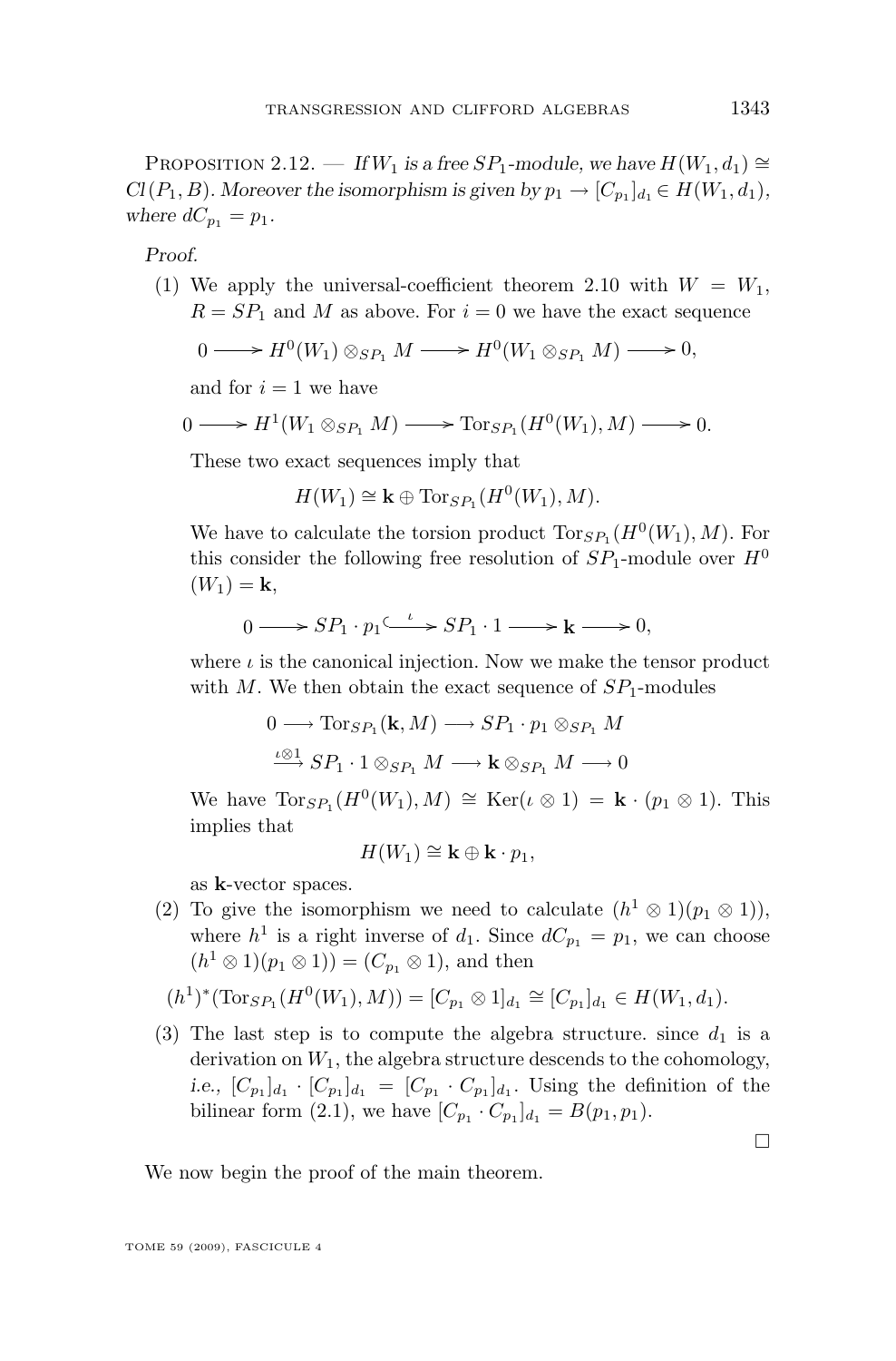PROPOSITION 2.12. — *If*  $W_1$  *is a free*  $SP_1$ -module, we have  $H(W_1, d_1) \cong$  $Cl(P_1, B)$ *. Moreover the isomorphism is given by*  $p_1 \rightarrow [C_{p_1}]_{d_1} \in H(W_1, d_1)$ *,* where  $dC_{p_1} = p_1$ .

*Proof.*

(1) We apply the universal-coefficient theorem [2.10](#page-6-0) with  $W = W_1$ ,  $R = SP_1$  and M as above. For  $i = 0$  we have the exact sequence

$$
0 \longrightarrow H^0(W_1) \otimes_{SP_1} M \longrightarrow H^0(W_1 \otimes_{SP_1} M) \longrightarrow 0,
$$

and for  $i = 1$  we have

$$
0 \longrightarrow H^1(W_1 \otimes_{SP_1} M) \longrightarrow \text{Tor}_{SP_1}(H^0(W_1), M) \longrightarrow 0.
$$

These two exact sequences imply that

$$
H(W_1) \cong \mathbf{k} \oplus \text{Tor}_{SP_1}(H^0(W_1), M).
$$

We have to calculate the torsion product  $\text{Tor}_{SP_1}(H^0(W_1), M)$ . For this consider the following free resolution of  $SP_1$ -module over  $H^0$  $(W_1) = {\bf k},$ 

$$
0 \longrightarrow SP_1 \cdot p_1 \xrightarrow{\iota} SP_1 \cdot 1 \longrightarrow \mathbf{k} \longrightarrow 0,
$$

where  $\iota$  is the canonical injection. Now we make the tensor product with M. We then obtain the exact sequence of  $SP<sub>1</sub>$ -modules

$$
0 \longrightarrow \text{Tor}_{SP_1}(\mathbf{k}, M) \longrightarrow SP_1 \cdot p_1 \otimes_{SP_1} M
$$
  

$$
\xrightarrow{\iota \otimes 1} SP_1 \cdot 1 \otimes_{SP_1} M \longrightarrow \mathbf{k} \otimes_{SP_1} M \longrightarrow 0
$$

We have  $\text{Tor}_{SP_1}(H^0(W_1), M) \cong \text{Ker}(\iota \otimes 1) = \mathbf{k} \cdot (p_1 \otimes 1)$ . This implies that

$$
H(W_1) \cong \mathbf{k} \oplus \mathbf{k} \cdot p_1,
$$

as k-vector spaces.

(2) To give the isomorphism we need to calculate  $(h^1 \otimes 1)(p_1 \otimes 1)$ , where  $h^1$  is a right inverse of  $d_1$ . Since  $dC_{p_1} = p_1$ , we can choose  $(h^1 \otimes 1)(p_1 \otimes 1)) = (C_{p_1} \otimes 1)$ , and then

$$
(h^1)^*(\text{Tor}_{SP_1}(H^0(W_1), M)) = [C_{p_1} \otimes 1]_{d_1} \cong [C_{p_1}]_{d_1} \in H(W_1, d_1).
$$

(3) The last step is to compute the algebra structure. since  $d_1$  is a derivation on  $W_1$ , the algebra structure descends to the cohomology, *i.e.*,  $[C_{p_1}]_{d_1} \cdot [C_{p_1}]_{d_1} = [C_{p_1} \cdot C_{p_1}]_{d_1}$ . Using the definition of the bilinear form [\(2.1\)](#page-5-0), we have  $[C_{p_1} \cdot C_{p_1}]_{d_1} = B(p_1, p_1)$ .

We now begin the proof of the main theorem.

 $\Box$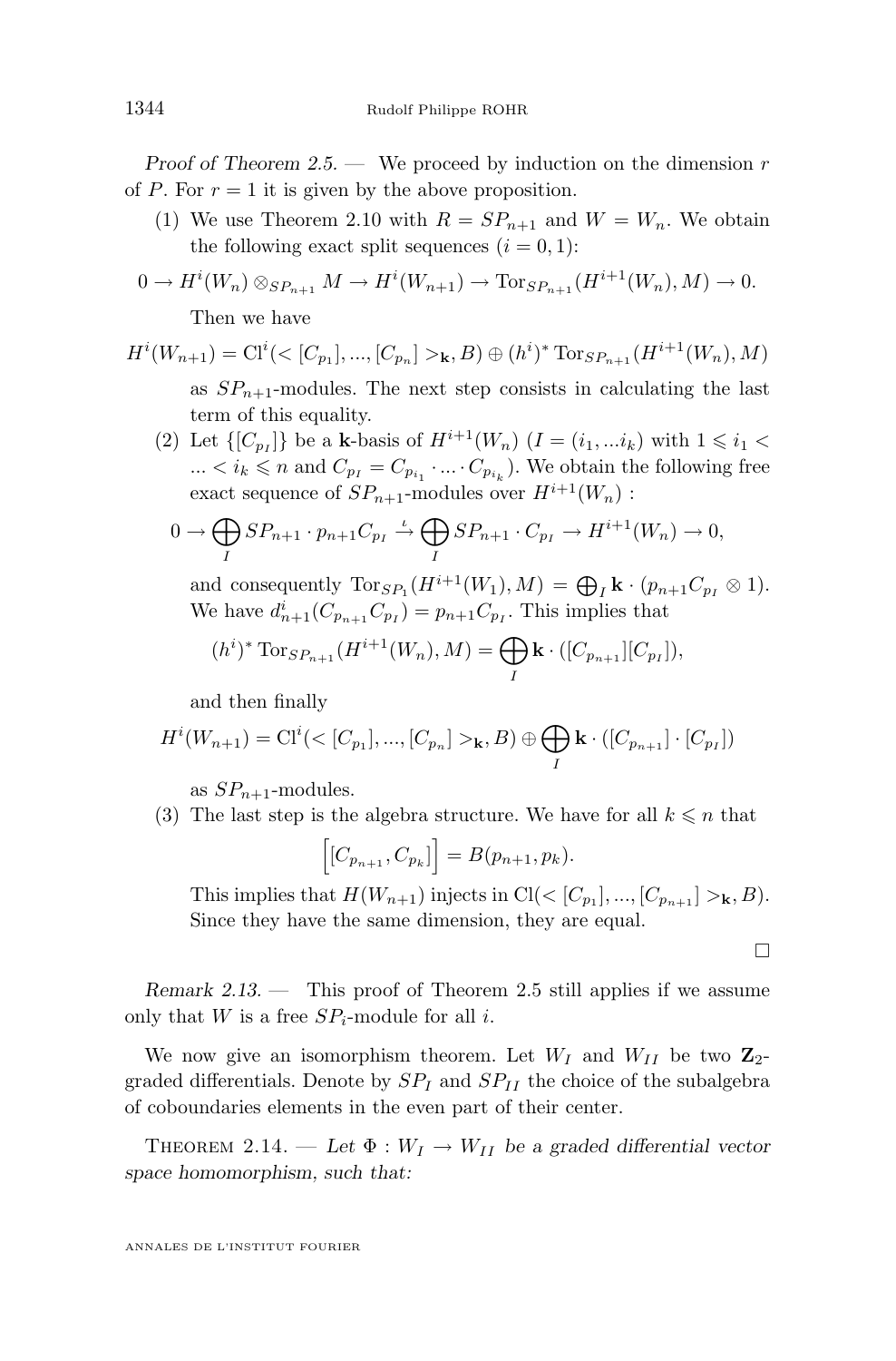<span id="page-8-0"></span>*Proof of Theorem [2.5.](#page-4-0)* — We proceed by induction on the dimension r of P. For  $r = 1$  it is given by the above proposition.

- (1) We use Theorem [2.10](#page-6-0) with  $R = SP_{n+1}$  and  $W = W_n$ . We obtain the following exact split sequences  $(i = 0, 1)$ :
- $0 \to H^{i}(W_n) \otimes_{SP_{n+1}} M \to H^{i}(W_{n+1}) \to \text{Tor}_{SP_{n+1}}(H^{i+1}(W_n), M) \to 0.$

Then we have

$$
H^{i}(W_{n+1}) = \mathrm{Cl}^{i}(\langle [C_{p_1}], \ldots, [C_{p_n}] \rangle_{\mathbf{k}}, B) \oplus (h^{i})^* \mathrm{Tor}_{SP_{n+1}}(H^{i+1}(W_n), M)
$$

as  $SP_{n+1}$ -modules. The next step consists in calculating the last term of this equality.

(2) Let  $\{[C_{p_I}]\}$  be a **k**-basis of  $H^{i+1}(W_n)$   $(I = (i_1, ... i_k)$  with  $1 \le i_1 <$  $\ldots < i_k \leq n$  and  $C_{p_I} = C_{p_{i_1}} \cdot \ldots \cdot C_{p_{i_k}}$ . We obtain the following free exact sequence of  $SP_{n+1}$ -modules over  $H^{i+1}(W_n)$ :

$$
0 \to \bigoplus_{I} SP_{n+1} \cdot p_{n+1} C_{p_I} \xrightarrow{\iota} \bigoplus_{I} SP_{n+1} \cdot C_{p_I} \to H^{i+1}(W_n) \to 0,
$$

and consequently  $\text{Tor}_{SP_1}(H^{i+1}(W_1), M) = \bigoplus_I \mathbf{k} \cdot (p_{n+1}C_{p_I} \otimes 1).$ We have  $d_{n+1}^i(C_{p_{n+1}}C_{p_I}) = p_{n+1}C_{p_I}$ . This implies that

$$
(h^i)^* \operatorname{Tor}_{SP_{n+1}}(H^{i+1}(W_n), M) = \bigoplus_{I} \mathbf{k} \cdot ([C_{p_{n+1}}][C_{p_I}]),
$$

and then finally

$$
H^{i}(W_{n+1}) = \mathcal{C}1^{i}(< [C_{p_{1}}], ..., [C_{p_{n}}] >_{\mathbf{k}}, B) \oplus \bigoplus_{I} \mathbf{k} \cdot ([C_{p_{n+1}}] \cdot [C_{p_{I}}])
$$

as  $SP_{n+1}$ -modules.

(3) The last step is the algebra structure. We have for all  $k \leq n$  that

$$
\Big[[C_{p_{n+1}}, C_{p_k}]\Big] = B(p_{n+1}, p_k).
$$

This implies that  $H(W_{n+1})$  injects in  $Cl( $[C_{p_1}],...,[C_{p_{n+1}}]>_{\mathbf{k}}, B)$ .$ Since they have the same dimension, they are equal.

 $\Box$ 

*Remark 2.13. —* This proof of Theorem [2.5](#page-4-0) still applies if we assume only that W is a free  $SP_i$ -module for all i.

We now give an isomorphism theorem. Let  $W_I$  and  $W_{II}$  be two  $\mathbb{Z}_2$ graded differentials. Denote by  $SP<sub>I</sub>$  and  $SP<sub>II</sub>$  the choice of the subalgebra of coboundaries elements in the even part of their center.

THEOREM 2.14. — Let  $\Phi: W_I \to W_{II}$  be a graded differential vector *space homomorphism, such that:*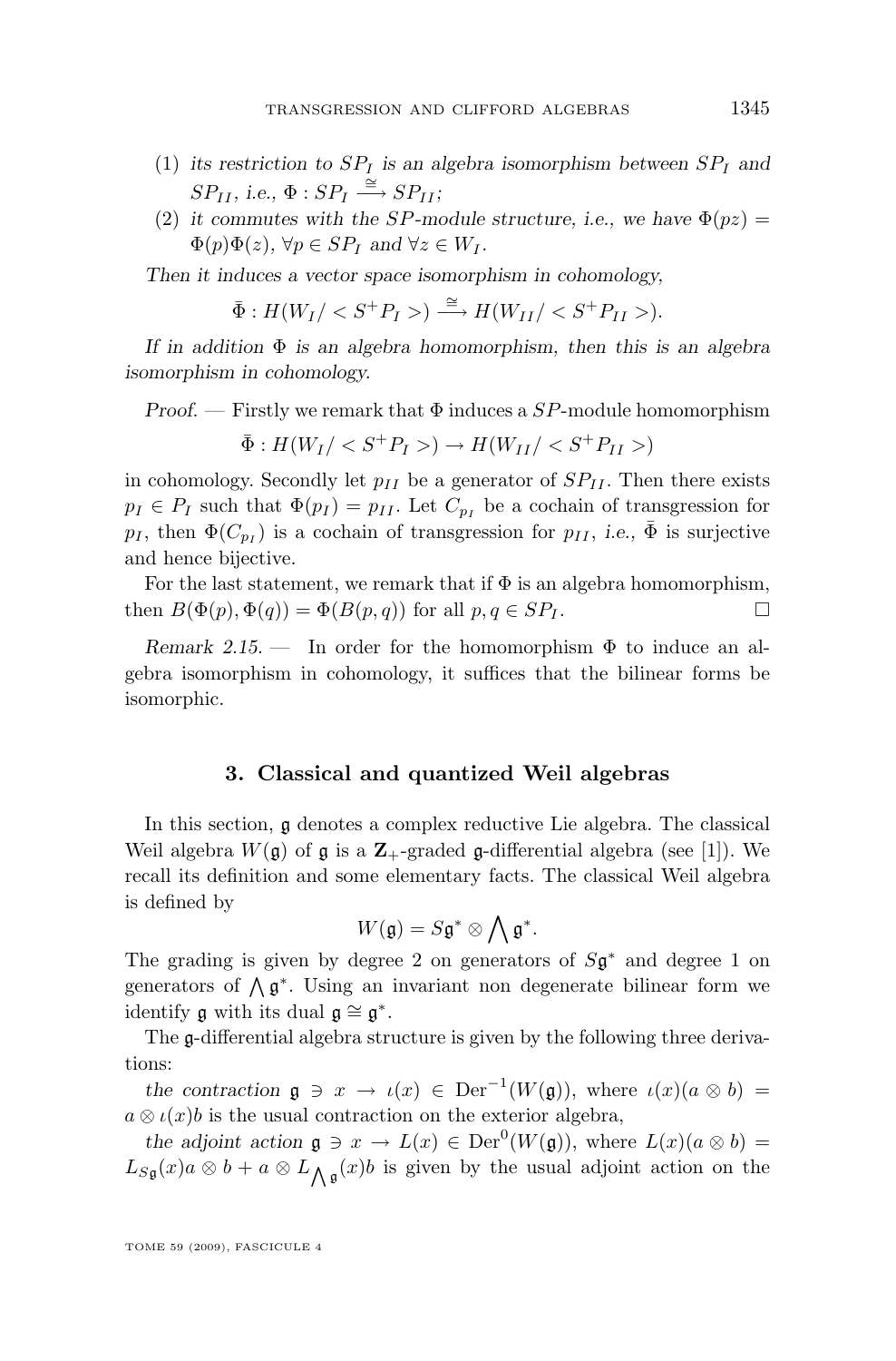- <span id="page-9-0"></span>(1) its restriction to  $SP<sub>I</sub>$  is an algebra isomorphism between  $SP<sub>I</sub>$  and  $SP_{II}$ , i.e.,  $\Phi : SP_I \stackrel{\cong}{\longrightarrow} SP_{II}$ ;
- (2) *it commutes with the SP-module structure, i.e., we have*  $\Phi(pz)$  =  $\Phi(p)\Phi(z)$ ,  $\forall p \in SP_I$  and  $\forall z \in W_I$ .

*Then it induces a vector space isomorphism in cohomology,*

$$
\overline{\Phi}: H(W_I) < S^+P_I > \implies H(W_{II}) < S^+P_{II} > \text{)}.
$$

*If in addition* Φ *is an algebra homomorphism, then this is an algebra isomorphism in cohomology.*

*Proof. —* Firstly we remark that Φ induces a SP-module homomorphism

$$
\bar{\Phi}: H(W_I) < S^+P_I > H(W_{II}) < S^+P_{II} > H(W_{II})
$$

in cohomology. Secondly let  $p_{II}$  be a generator of  $SP_{II}$ . Then there exists  $p_I \in P_I$  such that  $\Phi(p_I) = p_{II}$ . Let  $C_{p_I}$  be a cochain of transgression for  $p_I$ , then  $\Phi(C_{p_I})$  is a cochain of transgression for  $p_{II}$ , *i.e.*,  $\bar{\Phi}$  is surjective and hence bijective.

For the last statement, we remark that if  $\Phi$  is an algebra homomorphism, then  $B(\Phi(p), \Phi(q)) = \Phi(B(p, q))$  for all  $p, q \in SP_I$ .

*Remark 2.15. —* In order for the homomorphism Φ to induce an algebra isomorphism in cohomology, it suffices that the bilinear forms be isomorphic.

#### **3. Classical and quantized Weil algebras**

In this section, g denotes a complex reductive Lie algebra. The classical Weil algebra  $W(\mathfrak{g})$  of  $\mathfrak{g}$  is a  $\mathbb{Z}_+$ -graded  $\mathfrak{g}$ -differential algebra (see [\[1\]](#page-21-0)). We recall its definition and some elementary facts. The classical Weil algebra is defined by

$$
W(\mathfrak{g})=S\mathfrak{g}^*\otimes\bigwedge\mathfrak{g}^*.
$$

The grading is given by degree 2 on generators of  $S\mathfrak{g}^*$  and degree 1 on generators of  $\Lambda$  $\mathfrak{g}^*$ . Using an invariant non degenerate bilinear form we identify  $\mathfrak g$  with its dual  $\mathfrak g \cong \mathfrak g^*$ .

The g-differential algebra structure is given by the following three derivations:

*the contraction*  $\mathfrak{g} \ni x \to \iota(x) \in \text{Der}^{-1}(W(\mathfrak{g}))$ , where  $\iota(x)(a \otimes b) =$  $a \otimes \iota(x) b$  is the usual contraction on the exterior algebra,

*the adjoint action*  $\mathfrak{g} \ni x \to L(x) \in \text{Der}^0(W(\mathfrak{g}))$ , where  $L(x)(a \otimes b) =$  $L_{S_{\mathfrak{g}}}(x)$   $a \otimes b + a \otimes L_{\bigwedge \mathfrak{g}}(x)$  is given by the usual adjoint action on the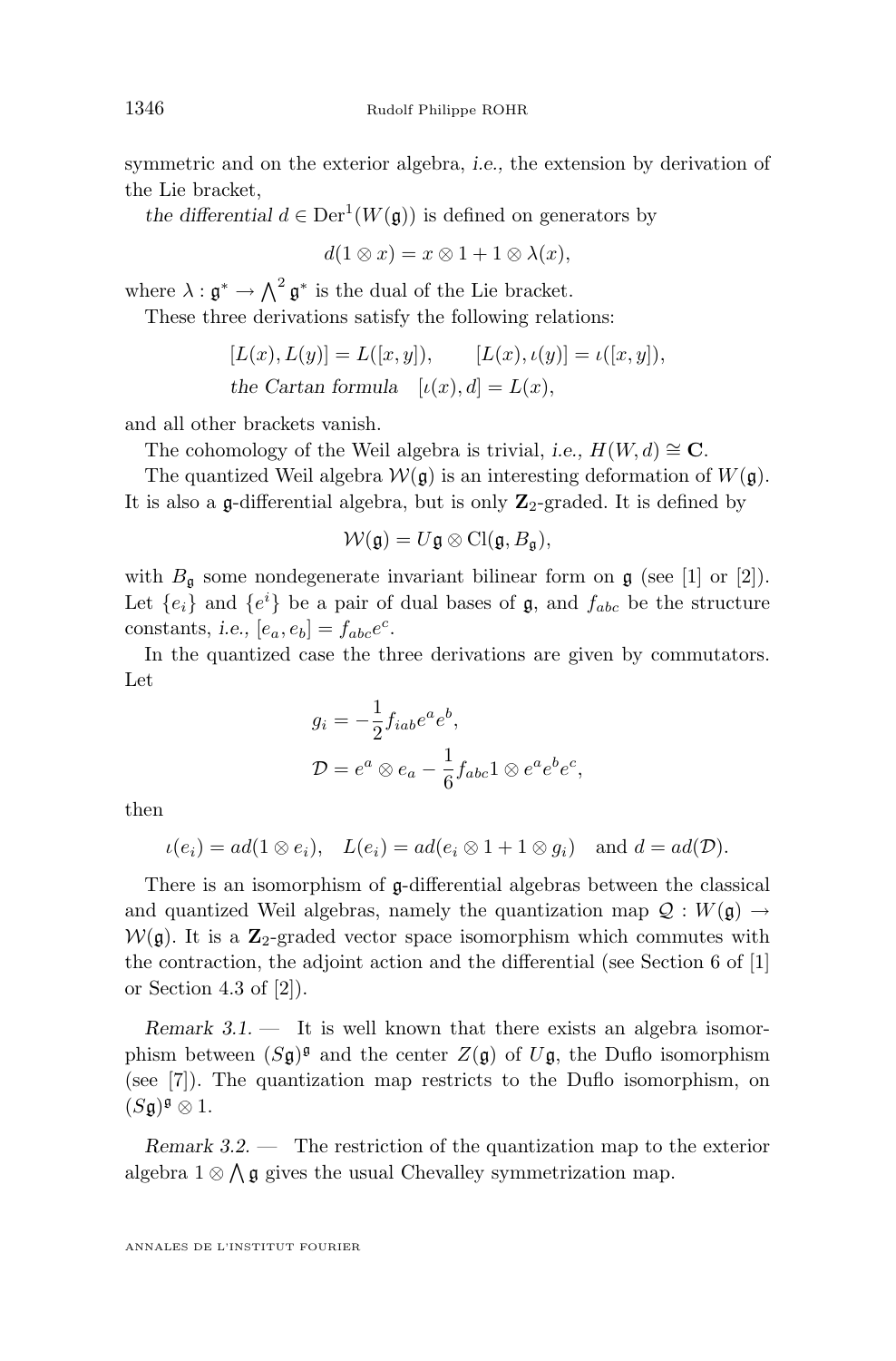symmetric and on the exterior algebra, *i.e.,* the extension by derivation of the Lie bracket,

the differential  $d \in \text{Der}^1(W(\mathfrak{g}))$  is defined on generators by

$$
d(1\otimes x) = x\otimes 1 + 1\otimes \lambda(x),
$$

where  $\lambda: \mathfrak{g}^* \to \bigwedge^2 \mathfrak{g}^*$  is the dual of the Lie bracket.

These three derivations satisfy the following relations:

$$
[L(x), L(y)] = L([x, y]), \t [L(x), \iota(y)] = \iota([x, y]),
$$
  
the Cartan formula  $[\iota(x), d] = L(x),$ 

and all other brackets vanish.

The cohomology of the Weil algebra is trivial, *i.e.*,  $H(W, d) \cong \mathbb{C}$ .

The quantized Weil algebra  $W(\mathfrak{g})$  is an interesting deformation of  $W(\mathfrak{g})$ . It is also a  $\mathfrak g$ -differential algebra, but is only  $\mathbb Z_2$ -graded. It is defined by

$$
\mathcal{W}(\mathfrak{g})=U\mathfrak{g}\otimes \mathrm{Cl}(\mathfrak{g},B_{\mathfrak{g}}),
$$

with  $B_{\mathfrak{g}}$  some nondegenerate invariant bilinear form on  $\mathfrak{g}$  (see [\[1\]](#page-21-0) or [\[2\]](#page-21-0)). Let  ${e_i}$  and  ${e^i}$  be a pair of dual bases of  $\mathfrak{g}$ , and  $f_{abc}$  be the structure constants, *i.e.*,  $[e_a, e_b] = f_{abc}e^c$ .

In the quantized case the three derivations are given by commutators. Let

$$
g_i = -\frac{1}{2}f_{iab}e^a e^b,
$$
  

$$
\mathcal{D} = e^a \otimes e_a - \frac{1}{6}f_{abc}1 \otimes e^a e^b e^c,
$$

then

$$
\iota(e_i) = ad(1 \otimes e_i), \quad L(e_i) = ad(e_i \otimes 1 + 1 \otimes g_i) \quad \text{and } d = ad(\mathcal{D}).
$$

There is an isomorphism of g-differential algebras between the classical and quantized Weil algebras, namely the quantization map  $\mathcal{Q}: W(\mathfrak{g}) \to$  $W(\mathfrak{g})$ . It is a  $\mathbb{Z}_2$ -graded vector space isomorphism which commutes with the contraction, the adjoint action and the differential (see Section 6 of [\[1\]](#page-21-0) or Section 4.3 of  $[2]$ ).

*Remark 3.1.* — It is well known that there exists an algebra isomorphism between  $(S\mathfrak{g})^{\mathfrak{g}}$  and the center  $Z(\mathfrak{g})$  of  $U\mathfrak{g}$ , the Duflo isomorphism (see [\[7\]](#page-21-0)). The quantization map restricts to the Duflo isomorphism, on  $(S\mathfrak{g})^{\mathfrak{g}}\otimes 1.$ 

*Remark 3.2. —* The restriction of the quantization map to the exterior algebra  $1 \otimes \bigwedge \mathfrak{g}$  gives the usual Chevalley symmetrization map.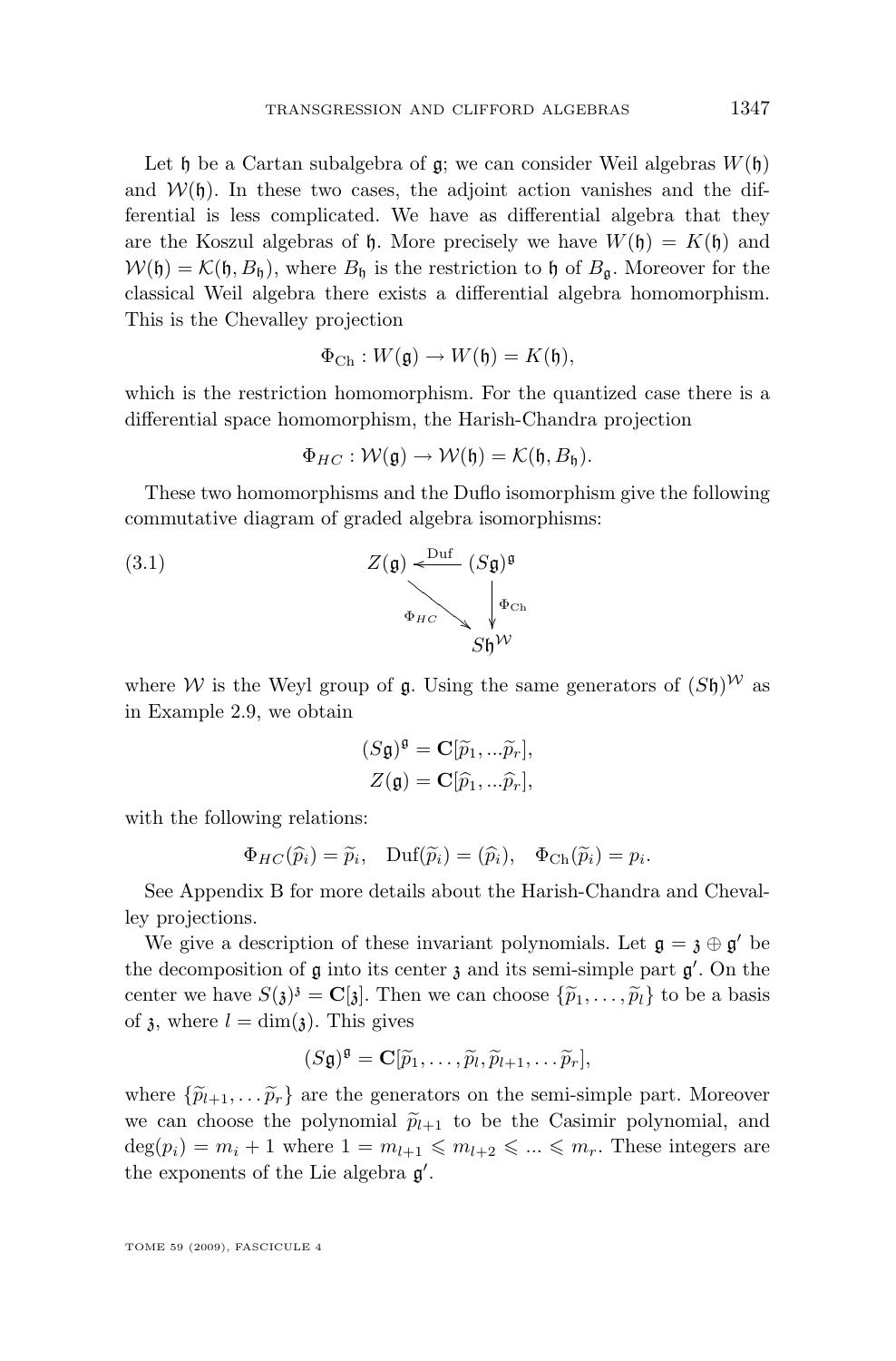Let h be a Cartan subalgebra of  $\mathfrak{g}$ ; we can consider Weil algebras  $W(\mathfrak{h})$ and  $W(\mathfrak{h})$ . In these two cases, the adjoint action vanishes and the differential is less complicated. We have as differential algebra that they are the Koszul algebras of  $\mathfrak h$ . More precisely we have  $W(\mathfrak h) = K(\mathfrak h)$  and  $W(\mathfrak{h}) = \mathcal{K}(\mathfrak{h}, B_{\mathfrak{h}})$ , where  $B_{\mathfrak{h}}$  is the restriction to  $\mathfrak{h}$  of  $B_{\mathfrak{g}}$ . Moreover for the classical Weil algebra there exists a differential algebra homomorphism. This is the Chevalley projection

$$
\Phi_{\mathrm{Ch}}: W(\mathfrak{g}) \to W(\mathfrak{h}) = K(\mathfrak{h}),
$$

which is the restriction homomorphism. For the quantized case there is a differential space homomorphism, the Harish-Chandra projection

$$
\Phi_{HC}: \mathcal{W}(\mathfrak{g}) \to \mathcal{W}(\mathfrak{h}) = \mathcal{K}(\mathfrak{h}, B_{\mathfrak{h}}).
$$

These two homomorphisms and the Duflo isomorphism give the following commutative diagram of graded algebra isomorphisms:



where W is the Weyl group of  $\mathfrak g$ . Using the same generators of  $(S\mathfrak h)^W$  as in Example [2.9,](#page-5-0) we obtain

$$
(S\mathfrak{g})^{\mathfrak{g}} = \mathbf{C}[\widetilde{p}_1, \dots \widetilde{p}_r],
$$
  

$$
Z(\mathfrak{g}) = \mathbf{C}[\widehat{p}_1, \dots \widehat{p}_r],
$$

with the following relations:

$$
\Phi_{HC}(\widehat{p}_i) = \widetilde{p}_i
$$
,  $\text{Duf}(\widetilde{p}_i) = (\widehat{p}_i)$ ,  $\Phi_{Ch}(\widetilde{p}_i) = p_i$ .

See Appendix [B](#page-19-0) for more details about the Harish-Chandra and Chevalley projections.

We give a description of these invariant polynomials. Let  $\mathfrak{g} = \mathfrak{z} \oplus \mathfrak{g}'$  be the decomposition of  $\mathfrak g$  into its center  $\mathfrak z$  and its semi-simple part  $\mathfrak g'$ . On the center we have  $S(\mathfrak{z})^3 = \mathbf{C}[\mathfrak{z}]$ . Then we can choose  $\{\widetilde{p}_1, \ldots, \widetilde{p}_l\}$  to be a basis of a whore  $l = \dim(\mathfrak{z})$ . This gives of  $\lambda$ , where  $l = \dim(\lambda)$ . This gives

$$
(S\mathfrak{g})^{\mathfrak{g}} = \mathbf{C}[\widetilde{p}_1,\ldots,\widetilde{p}_l,\widetilde{p}_{l+1},\ldots\widetilde{p}_r],
$$

where  $\{\widetilde{p}_{l+1}, \ldots \widetilde{p}_r\}$  are the generators on the semi-simple part. Moreover we can choose the polynomial  $\tilde{p}_{l+1}$  to be the Casimir polynomial, and  $deg(p_i) = m_i + 1$  where  $1 = m_{l+1} \leq m_{l+2} \leq \ldots \leq m_r$ . These integers are the exponents of the Lie algebra  $g'$ .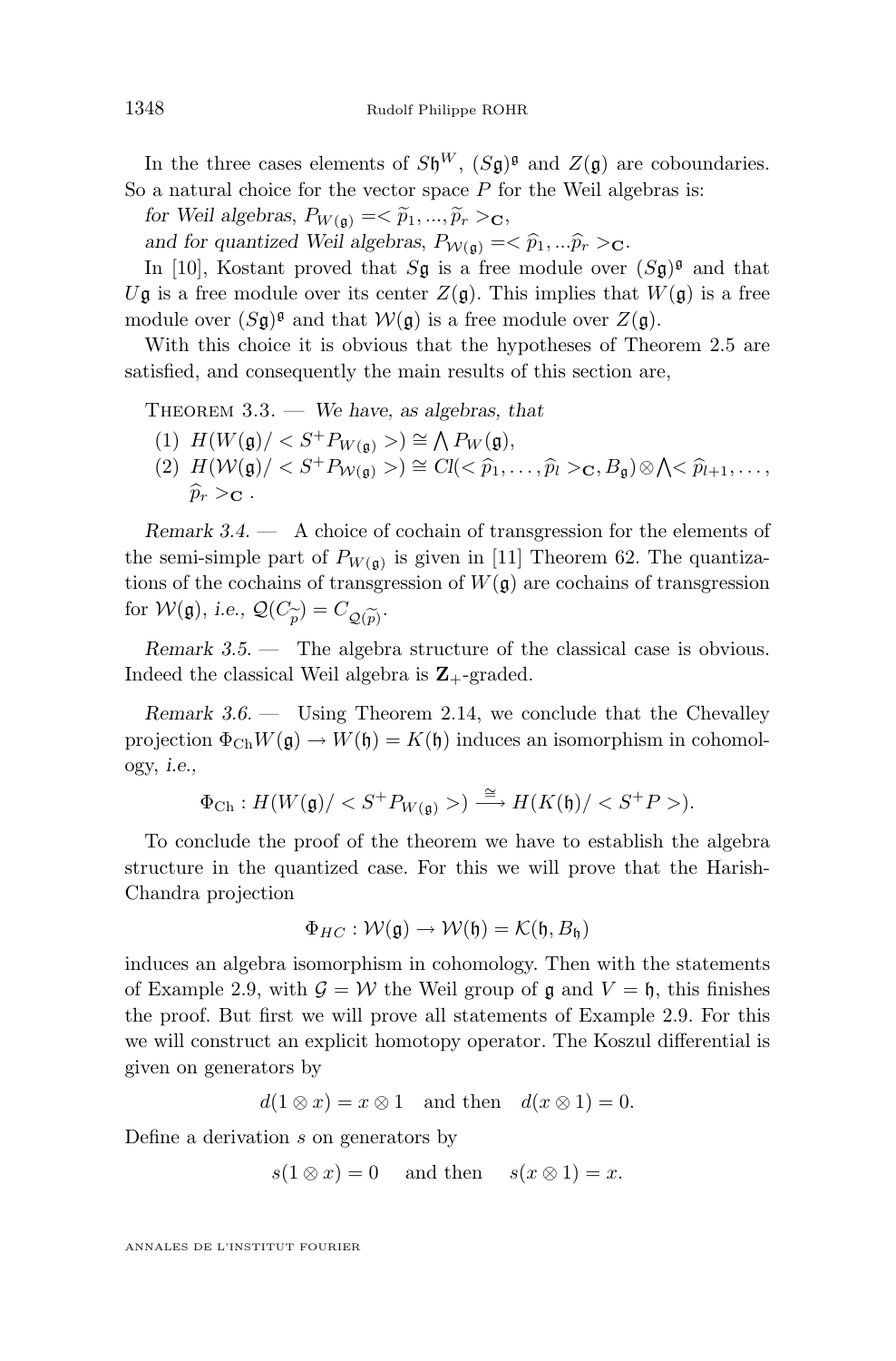<span id="page-12-0"></span>In the three cases elements of  $S\mathfrak{h}^W$ ,  $(S\mathfrak{g})^{\mathfrak{g}}$  and  $Z(\mathfrak{g})$  are coboundaries. So a natural choice for the vector space  $P$  for the Weil algebras is:

*for Weil algebras,*  $P_{W(\mathfrak{g})} = \langle \tilde{p}_1, ..., \tilde{p}_r \rangle_{\mathbf{C}},$ 

and for quantized Weil algebras,  $P_{\mathcal{W}(\mathfrak{g})} = \langle \hat{p}_1, \dots \hat{p}_r \rangle_{\mathbf{C}}$ .

In [\[10\]](#page-21-0), Kostant proved that  $S\mathfrak{g}$  is a free module over  $(S\mathfrak{g})^{\mathfrak{g}}$  and that Ug is a free module over its center  $Z(\mathfrak{g})$ . This implies that  $W(\mathfrak{g})$  is a free module over  $(S\mathfrak{g})^{\mathfrak{g}}$  and that  $\mathcal{W}(\mathfrak{g})$  is a free module over  $Z(\mathfrak{g})$ .

With this choice it is obvious that the hypotheses of Theorem [2.5](#page-4-0) are satisfied, and consequently the main results of this section are,

Theorem 3.3. — *We have, as algebras, that*

- (1)  $H(W(\mathfrak{g})/ < S^+P_{W(\mathfrak{g})}>) \cong \bigwedge P_W(\mathfrak{g}),$
- $(2)$   $H(\mathcal{W}(\mathfrak{g})/ < S^+P_{\mathcal{W}(\mathfrak{g})}>) \cong Cl( $\widehat{p}_1,\ldots,\widehat{p}_l>_{\mathbf{C}}, B_{\mathfrak{g}})\otimes \bigwedge < \widehat{p}_{l+1},\ldots,$$  $\widehat{p}_r >_{\mathbf{C}}$ .

*Remark 3.4. —* A choice of cochain of transgression for the elements of the semi-simple part of  $P_{W(\mathfrak{g})}$  is given in [\[11\]](#page-22-0) Theorem 62. The quantizations of the cochains of transgression of  $W(\mathfrak{g})$  are cochains of transgression for  $W(\mathfrak{g})$ , *i.e.*,  $\mathcal{Q}(C_{\widetilde{p}}) = C_{\mathcal{Q}(\widetilde{p})}$ .

*Remark 3.5. —* The algebra structure of the classical case is obvious. Indeed the classical Weil algebra is  $\mathbb{Z}_+$ -graded.

*Remark 3.6. —* Using Theorem [2.14,](#page-8-0) we conclude that the Chevalley projection  $\Phi_{Ch}W(\mathfrak{g}) \to W(\mathfrak{h}) = K(\mathfrak{h})$  induces an isomorphism in cohomology, *i.e.,*

$$
\Phi_{\mathrm{Ch}}: H(W(\mathfrak{g})/)\stackrel{\cong}{\longrightarrow} H(K(\mathfrak{h})/).
$$

To conclude the proof of the theorem we have to establish the algebra structure in the quantized case. For this we will prove that the Harish-Chandra projection

$$
\Phi_{HC} : \mathcal{W}(\mathfrak{g}) \to \mathcal{W}(\mathfrak{h}) = \mathcal{K}(\mathfrak{h}, B_{\mathfrak{h}})
$$

induces an algebra isomorphism in cohomology. Then with the statements of Example [2.9,](#page-5-0) with  $\mathcal{G} = \mathcal{W}$  the Weil group of  $\mathfrak{g}$  and  $V = \mathfrak{h}$ , this finishes the proof. But first we will prove all statements of Example [2.9.](#page-5-0) For this we will construct an explicit homotopy operator. The Koszul differential is given on generators by

 $d(1 \otimes x) = x \otimes 1$  and then  $d(x \otimes 1) = 0$ .

Define a derivation s on generators by

$$
s(1 \otimes x) = 0
$$
 and then  $s(x \otimes 1) = x$ .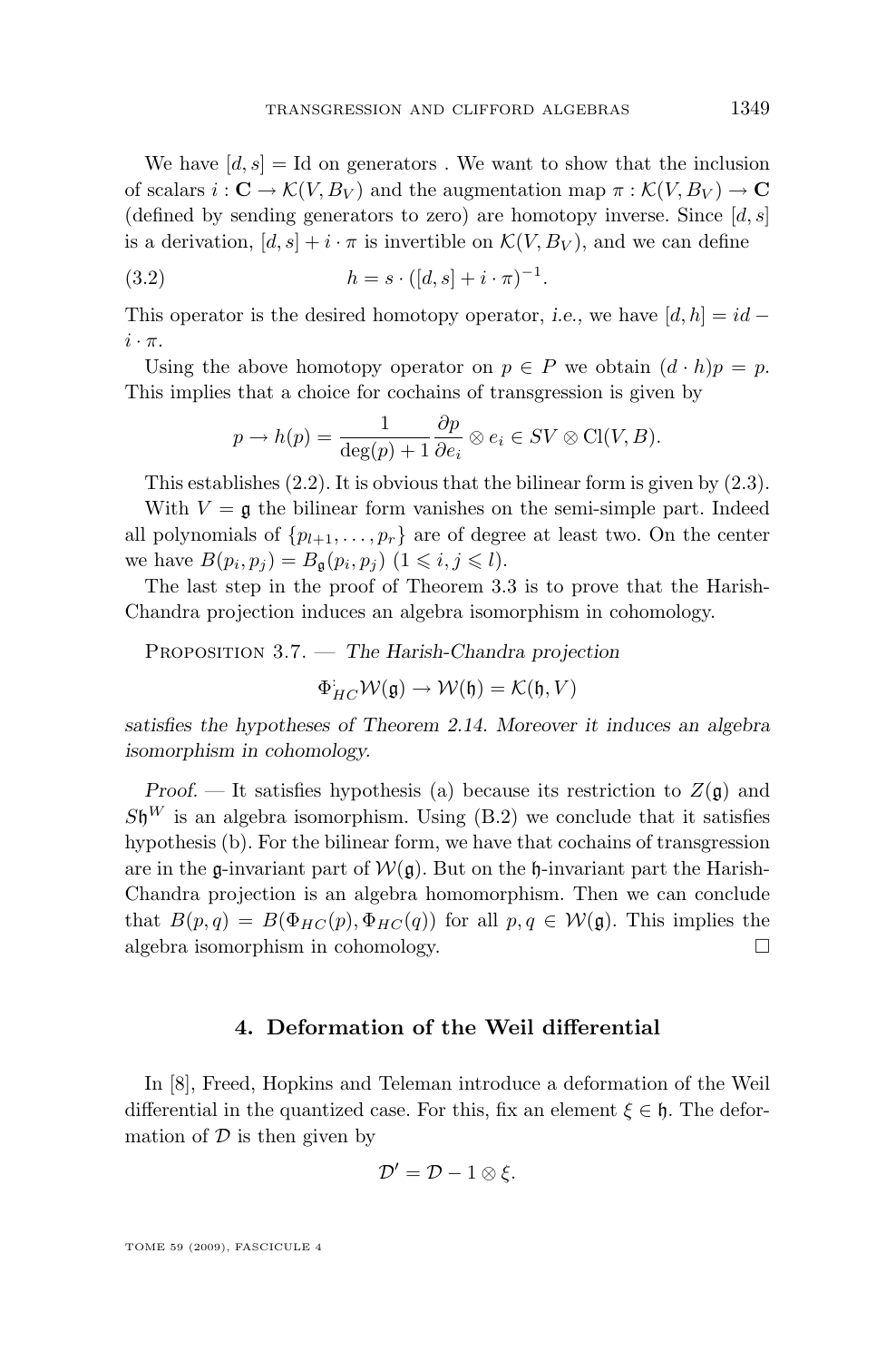<span id="page-13-0"></span>We have  $[d, s] = Id$  on generators. We want to show that the inclusion of scalars  $i: \mathbf{C} \to \mathcal{K}(V, B_V)$  and the augmentation map  $\pi: \mathcal{K}(V, B_V) \to \mathbf{C}$ (defined by sending generators to zero) are homotopy inverse. Since  $[d, s]$ is a derivation,  $[d, s] + i \cdot \pi$  is invertible on  $\mathcal{K}(V, B_V)$ , and we can define

(3.2) 
$$
h = s \cdot ([d, s] + i \cdot \pi)^{-1}.
$$

This operator is the desired homotopy operator, *i.e.*, we have  $[d, h] = id$  $i \cdot \pi$ .

Using the above homotopy operator on  $p \in P$  we obtain  $(d \cdot h)p = p$ . This implies that a choice for cochains of transgression is given by

$$
p \to h(p) = \frac{1}{\deg(p) + 1} \frac{\partial p}{\partial e_i} \otimes e_i \in SV \otimes \text{Cl}(V, B).
$$

This establishes [\(2.2\)](#page-5-0). It is obvious that the bilinear form is given by [\(2.3\)](#page-6-0).

With  $V = \mathfrak{g}$  the bilinear form vanishes on the semi-simple part. Indeed all polynomials of  $\{p_{l+1}, \ldots, p_r\}$  are of degree at least two. On the center we have  $B(p_i, p_j) = B_{\mathfrak{g}}(p_i, p_j)$   $(1 \leq i, j \leq l)$ .

The last step in the proof of Theorem [3.3](#page-12-0) is to prove that the Harish-Chandra projection induces an algebra isomorphism in cohomology.

Proposition 3.7. — *The Harish-Chandra projection*

$$
\Phi_{HC}^{\mathbf{L}} \mathcal{W}(\mathfrak{g}) \to \mathcal{W}(\mathfrak{h}) = \mathcal{K}(\mathfrak{h}, V)
$$

*satisfies the hypotheses of Theorem [2.14.](#page-8-0) Moreover it induces an algebra isomorphism in cohomology.*

*Proof.* — It satisfies hypothesis (a) because its restriction to  $Z(\mathfrak{g})$  and  $S\mathfrak{h}^W$  is an algebra isomorphism. Using [\(B.2\)](#page-21-0) we conclude that it satisfies hypothesis (b). For the bilinear form, we have that cochains of transgression are in the g-invariant part of  $W(q)$ . But on the h-invariant part the Harish-Chandra projection is an algebra homomorphism. Then we can conclude that  $B(p,q) = B(\Phi_{HC}(p), \Phi_{HC}(q))$  for all  $p,q \in \mathcal{W}(\mathfrak{g})$ . This implies the algebra isomorphism in cohomology.

#### **4. Deformation of the Weil differential**

In [\[8\]](#page-21-0), Freed, Hopkins and Teleman introduce a deformation of the Weil differential in the quantized case. For this, fix an element  $\xi \in \mathfrak{h}$ . The deformation of  $D$  is then given by

$$
\mathcal{D}'=\mathcal{D}-1\otimes \xi.
$$

TOME 59 (2009), FASCICULE 4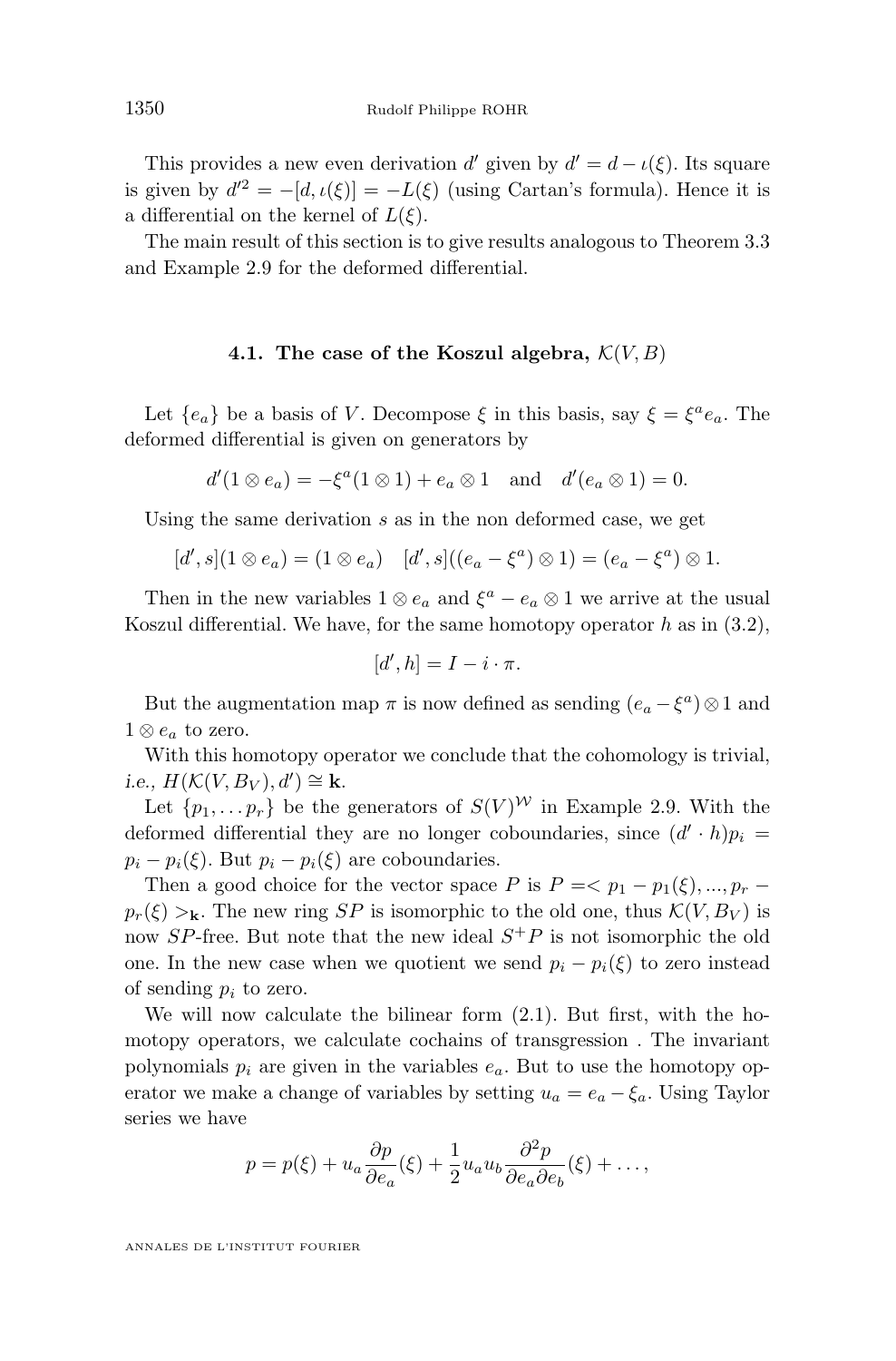This provides a new even derivation d' given by  $d' = d - \iota(\xi)$ . Its square is given by  $d^2 = -[d, \iota(\xi)] = -L(\xi)$  (using Cartan's formula). Hence it is a differential on the kernel of  $L(\xi)$ .

The main result of this section is to give results analogous to Theorem [3.3](#page-12-0) and Example [2.9](#page-5-0) for the deformed differential.

#### **4.1.** The case of the Koszul algebra,  $\mathcal{K}(V, B)$

Let  ${e_a}$  be a basis of V. Decompose  $\xi$  in this basis, say  $\xi = \xi^a e_a$ . The deformed differential is given on generators by

$$
d'(1 \otimes e_a) = -\xi^a(1 \otimes 1) + e_a \otimes 1
$$
 and  $d'(e_a \otimes 1) = 0$ .

Using the same derivation s as in the non deformed case, we get

$$
[d', s](1 \otimes e_a) = (1 \otimes e_a) \quad [d', s]((e_a - \xi^a) \otimes 1) = (e_a - \xi^a) \otimes 1.
$$

Then in the new variables  $1 \otimes e_a$  and  $\xi^a - e_a \otimes 1$  we arrive at the usual Koszul differential. We have, for the same homotopy operator h as in  $(3.2)$ ,

$$
[d',h] = I - i \cdot \pi.
$$

But the augmentation map  $\pi$  is now defined as sending  $(e_a - \xi^a) \otimes 1$  and  $1 \otimes e_a$  to zero.

With this homotopy operator we conclude that the cohomology is trivial. *i.e.,*  $H(K(V, B_V), d') \cong \mathbf{k}$ .

Let  $\{p_1, \ldots, p_r\}$  be the generators of  $S(V)^W$  in Example [2.9.](#page-5-0) With the deformed differential they are no longer coboundaries, since  $(d' \cdot h)p_i =$  $p_i - p_i(\xi)$ . But  $p_i - p_i(\xi)$  are coboundaries.

Then a good choice for the vector space P is  $P = \langle p_1 - p_1(\xi), ..., p_r - p_r(\xi) \rangle$  $p_r(\xi) >_{\mathbf{k}}$ . The new ring SP is isomorphic to the old one, thus  $\mathcal{K}(V, B_V)$  is now SP-free. But note that the new ideal  $S^+P$  is not isomorphic the old one. In the new case when we quotient we send  $p_i - p_i(\xi)$  to zero instead of sending  $p_i$  to zero.

We will now calculate the bilinear form [\(2.1\)](#page-5-0). But first, with the homotopy operators, we calculate cochains of transgression . The invariant polynomials  $p_i$  are given in the variables  $e_a$ . But to use the homotopy operator we make a change of variables by setting  $u_a = e_a - \xi_a$ . Using Taylor series we have

$$
p = p(\xi) + u_a \frac{\partial p}{\partial e_a}(\xi) + \frac{1}{2} u_a u_b \frac{\partial^2 p}{\partial e_a \partial e_b}(\xi) + \dots,
$$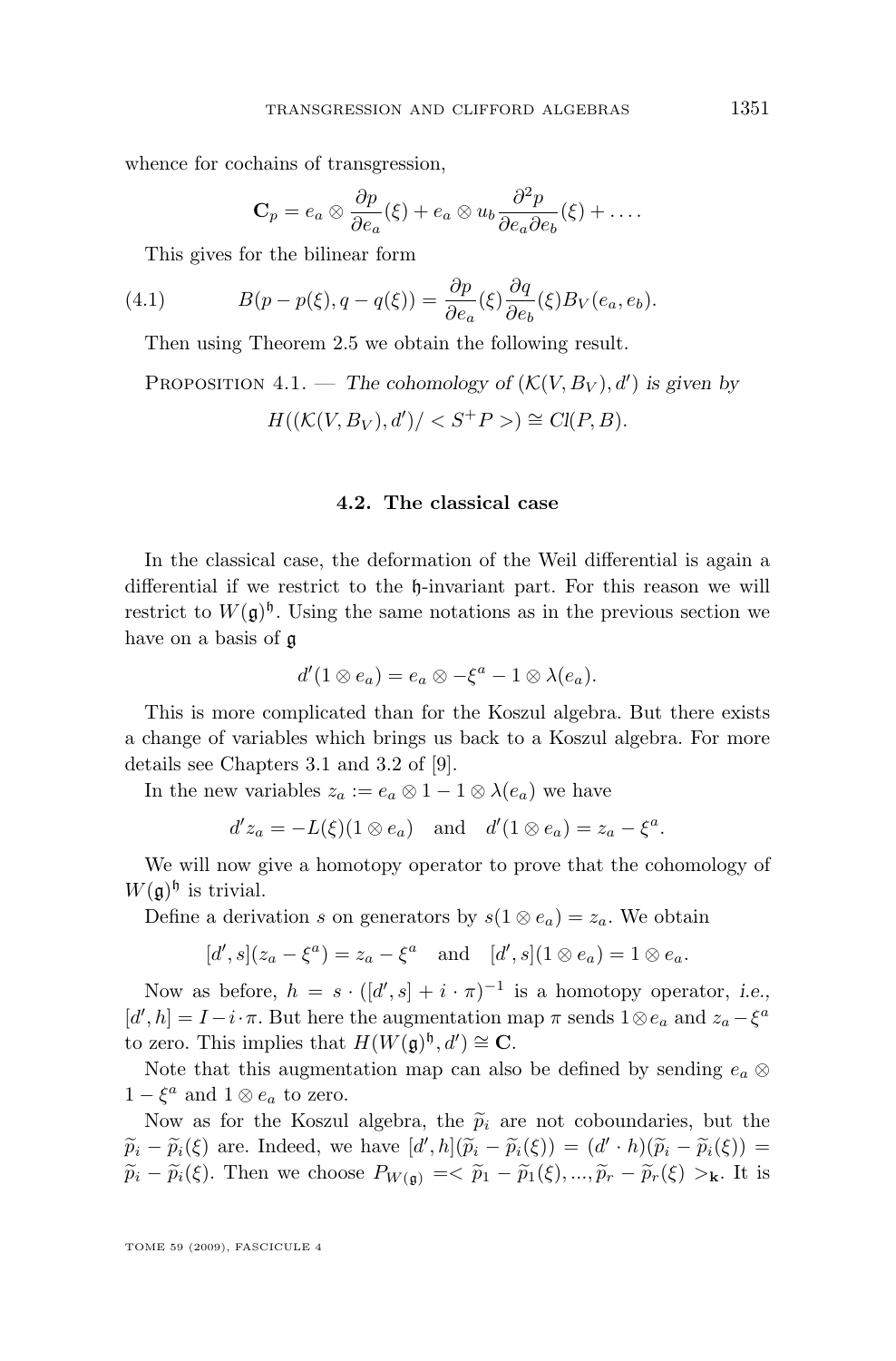<span id="page-15-0"></span>whence for cochains of transgression,

$$
\mathbf{C}_p = e_a \otimes \frac{\partial p}{\partial e_a}(\xi) + e_a \otimes u_b \frac{\partial^2 p}{\partial e_a \partial e_b}(\xi) + \dots
$$

This gives for the bilinear form

(4.1) 
$$
B(p - p(\xi), q - q(\xi)) = \frac{\partial p}{\partial e_a}(\xi) \frac{\partial q}{\partial e_b}(\xi) B_V(e_a, e_b).
$$

Then using Theorem [2.5](#page-4-0) we obtain the following result.

PROPOSITION 4.1. — The cohomology of 
$$
(\mathcal{K}(V, B_V), d')
$$
 is given by  

$$
H((\mathcal{K}(V, B_V), d') / < S^+P > ) \cong Cl(P, B).
$$

#### **4.2. The classical case**

In the classical case, the deformation of the Weil differential is again a differential if we restrict to the h-invariant part. For this reason we will restrict to  $W(\mathfrak{g})^{\mathfrak{h}}$ . Using the same notations as in the previous section we have on a basis of g

$$
d'(1\otimes e_a)=e_a\otimes -\xi^a-1\otimes \lambda(e_a).
$$

This is more complicated than for the Koszul algebra. But there exists a change of variables which brings us back to a Koszul algebra. For more details see Chapters 3.1 and 3.2 of [\[9\]](#page-21-0).

In the new variables  $z_a := e_a \otimes 1 - 1 \otimes \lambda(e_a)$  we have

$$
d'z_a = -L(\xi)(1 \otimes e_a)
$$
 and  $d'(1 \otimes e_a) = z_a - \xi^a$ .

We will now give a homotopy operator to prove that the cohomology of  $W(\mathfrak{g})^{\mathfrak{h}}$  is trivial.

Define a derivation s on generators by  $s(1 \otimes e_a) = z_a$ . We obtain

$$
[d', s](z_a - \xi^a) = z_a - \xi^a
$$
 and  $[d', s](1 \otimes e_a) = 1 \otimes e_a$ .

Now as before,  $h = s \cdot ([d', s] + i \cdot \pi)^{-1}$  is a homotopy operator, *i.e.*,  $[d', h] = I - i \cdot \pi$ . But here the augmentation map  $\pi$  sends  $1 \otimes e_a$  and  $z_a - \xi^a$ to zero. This implies that  $H(W(\mathfrak{g})^{\mathfrak{h}}, d') \cong \mathbf{C}$ .

Note that this augmentation map can also be defined by sending  $e_a \otimes$  $1 - \xi^a$  and  $1 \otimes e_a$  to zero.

Now as for the Koszul algebra, the  $\tilde{p}_i$  are not coboundaries, but the  $\widetilde{p}_i - \widetilde{p}_i(\xi)$  are. Indeed, we have  $[d',h](\widetilde{p}_i - \widetilde{p}_i(\xi)) = (d' \cdot h)(\widetilde{p}_i - \widetilde{p}_i(\xi)) =$ <br> $\widetilde{\approx}$   $(\xi)$ . Then we shape  $B$  $\tilde{p}_i - \tilde{p}_i(\xi)$ . Then we choose  $P_{W(\mathfrak{g})} = \langle \tilde{p}_1 - \tilde{p}_1(\xi), ..., \tilde{p}_r - \tilde{p}_r(\xi) \rangle$ k. It is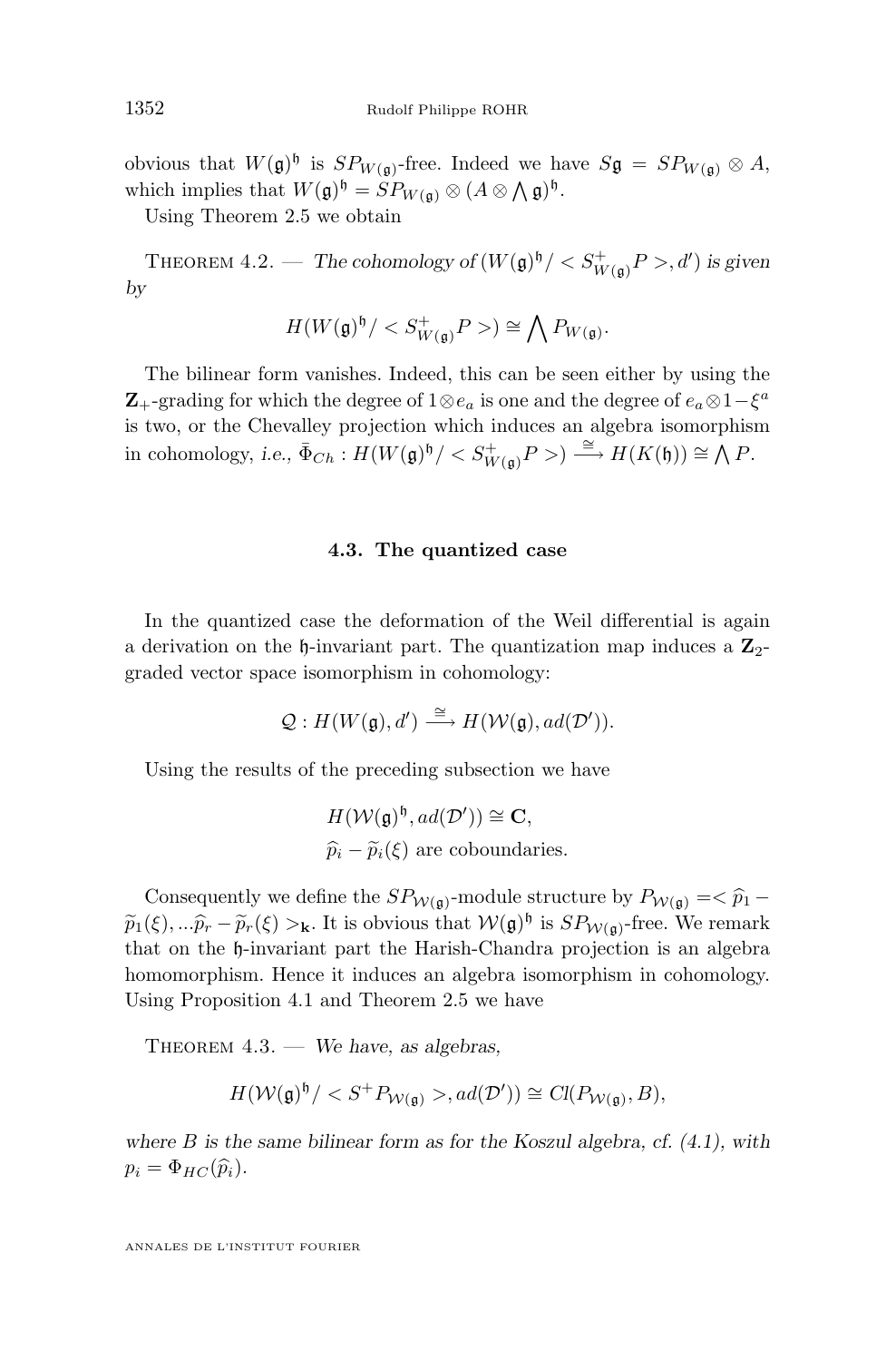<span id="page-16-0"></span>obvious that  $W(\mathfrak{g})^{\mathfrak{h}}$  is  $SP_{W(\mathfrak{g})}$ -free. Indeed we have  $S\mathfrak{g} = SP_{W(\mathfrak{g})} \otimes A$ , which implies that  $W(\mathfrak{g})^{\mathfrak{h}} = SP_{W(\mathfrak{g})} \otimes (A \otimes \mathfrak{h})^{\mathfrak{h}}$ .

Using Theorem [2.5](#page-4-0) we obtain

THEOREM  $4.2.$  — *The cohomology of*  $(W(\mathfrak{g})^{\mathfrak{h}}/< S^+_{W(\mathfrak{g})}P>$ , d') is given *by*

$$
H(W(\mathfrak{g})^{\mathfrak{h}}/)\cong \bigwedge P_{W(\mathfrak{g})}.
$$

The bilinear form vanishes. Indeed, this can be seen either by using the **Z**<sub>+</sub>-grading for which the degree of  $1 \otimes e_a$  is one and the degree of  $e_a \otimes 1-\xi^a$ is two, or the Chevalley projection which induces an algebra isomorphism in cohomology, *i.e.*,  $\bar{\Phi}_{Ch}: H(W(\mathfrak{g})^{\mathfrak{h}}/< S^+_{W(\mathfrak{g})}P) \stackrel{\cong}{\longrightarrow} H(K(\mathfrak{h})) \cong \bigwedge P$ .

#### **4.3. The quantized case**

In the quantized case the deformation of the Weil differential is again a derivation on the  $\mathfrak h$ -invariant part. The quantization map induces a  $\mathbb{Z}_2$ graded vector space isomorphism in cohomology:

$$
\mathcal{Q}: H(W(\mathfrak{g}),d') \stackrel{\cong}{\longrightarrow} H(\mathcal{W}(\mathfrak{g}),ad(\mathcal{D}')).
$$

Using the results of the preceding subsection we have

$$
H(\mathcal{W}(\mathfrak{g})^{\mathfrak{h}}, ad(\mathcal{D}')) \cong \mathbf{C},
$$
  
 $\widehat{p}_i - \widetilde{p}_i(\xi)$  are coboundaries.

Consequently we define the  $SP_{\mathcal{W}(\mathfrak{g})}$ -module structure by  $P_{\mathcal{W}(\mathfrak{g})} = \widehat{p}_1 - \widehat{p}_2$  $\widetilde{p}_1(\xi),...\widehat{p}_r-\widetilde{p}_r(\xi) >_{\mathbf{k}}$ . It is obvious that  $\mathcal{W}(\mathfrak{g})^{\mathfrak{h}}$  is  $SP_{\mathcal{W}(\mathfrak{g})}$ -free. We remark that on the h-invariant part the Harish-Chandra projection is an algebra homomorphism. Hence it induces an algebra isomorphism in cohomology. Using Proposition [4.1](#page-15-0) and Theorem [2.5](#page-4-0) we have

Theorem 4.3. — *We have, as algebras,*

$$
H(\mathcal{W}(\mathfrak{g})^{\mathfrak{h}}/, ad(\mathcal{D}')) \cong Cl(P_{\mathcal{W}(\mathfrak{g})}, B),
$$

*where* B *is the same bilinear form as for the Koszul algebra, cf. [\(4.1\)](#page-15-0), with*  $p_i = \Phi_{HC}(\widehat{p}_i).$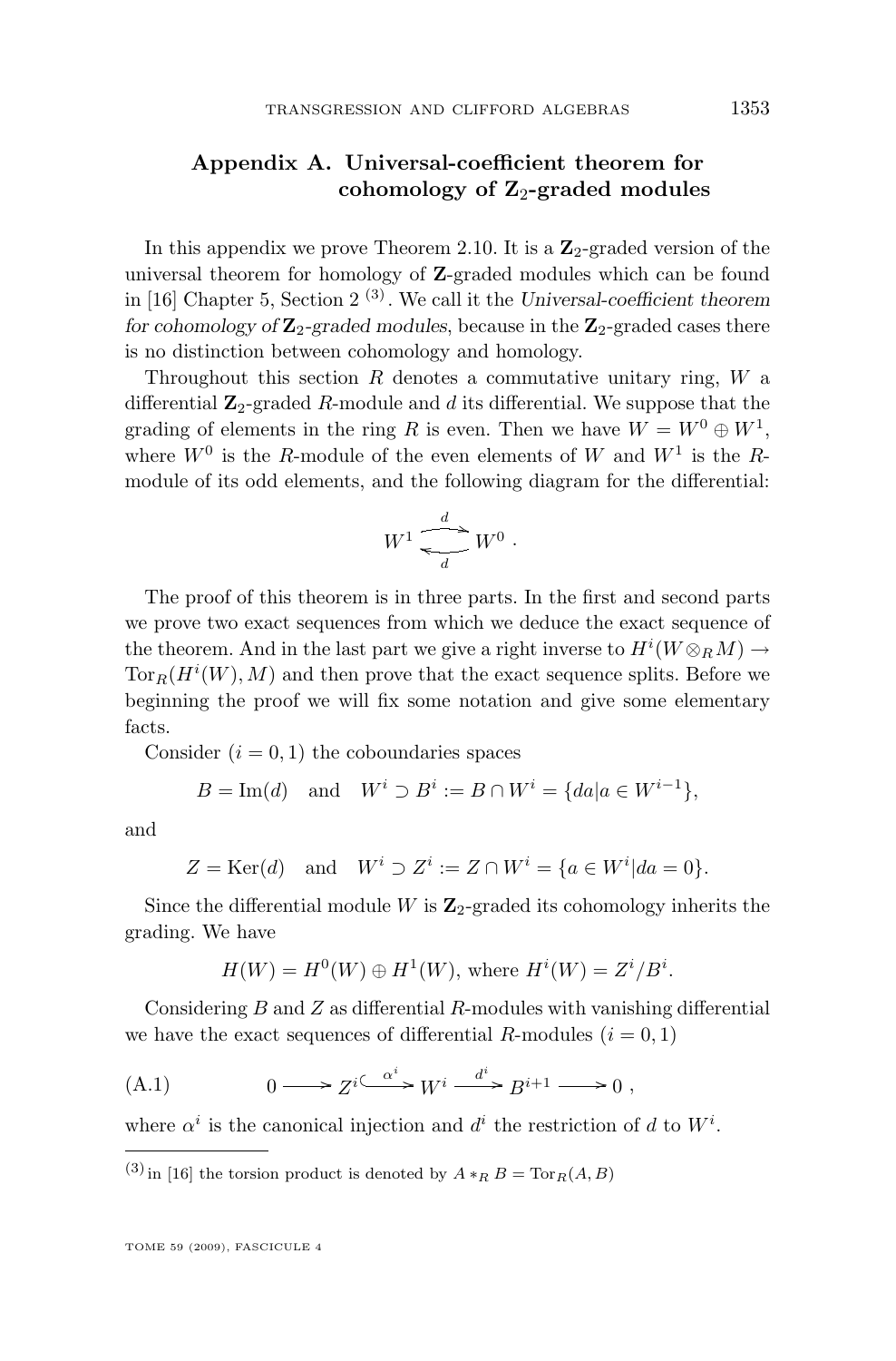#### <span id="page-17-0"></span>**Appendix A. Universal-coefficient theorem for** cohomology of  $\mathbb{Z}_2$ -graded modules

In this appendix we prove Theorem [2.10.](#page-6-0) It is a  $\mathbb{Z}_2$ -graded version of the universal theorem for homology of Z-graded modules which can be found in [\[16\]](#page-22-0) Chapter 5, Section 2 (3) . We call it the *Universal-coefficient theorem for cohomology of*  $\mathbb{Z}_2$ -graded modules, because in the  $\mathbb{Z}_2$ -graded cases there is no distinction between cohomology and homology.

Throughout this section  $R$  denotes a commutative unitary ring,  $W$  a differential  $\mathbb{Z}_2$ -graded R-module and d its differential. We suppose that the grading of elements in the ring R is even. Then we have  $W = W^0 \oplus W^1$ , where  $W^0$  is the R-module of the even elements of W and  $W^1$  is the Rmodule of its odd elements, and the following diagram for the differential:

$$
W^1 \xrightarrow{\phantom{aa}d \phantom{aa}} W^0 \ .
$$

The proof of this theorem is in three parts. In the first and second parts we prove two exact sequences from which we deduce the exact sequence of the theorem. And in the last part we give a right inverse to  $H^i(W \otimes_R M) \to$  $\text{Tor}_R(H^i(W), M)$  and then prove that the exact sequence splits. Before we beginning the proof we will fix some notation and give some elementary facts.

Consider  $(i = 0, 1)$  the coboundaries spaces

$$
B = \text{Im}(d) \quad \text{and} \quad W^i \supset B^i := B \cap W^i = \{ da | a \in W^{i-1} \},
$$

and

$$
Z = \text{Ker}(d) \quad \text{and} \quad W^i \supset Z^i := Z \cap W^i = \{a \in W^i | da = 0\}.
$$

Since the differential module  $W$  is  $\mathbb{Z}_2$ -graded its cohomology inherits the grading. We have

$$
H(W) = H0(W) \oplus H1(W), \text{ where } Hi(W) = Zi/Bi.
$$

Considering  $B$  and  $Z$  as differential  $R$ -modules with vanishing differential we have the exact sequences of differential R-modules  $(i = 0, 1)$ 

(A.1) 
$$
0 \longrightarrow Z^{i \stackrel{\alpha^i}{\longrightarrow}} W^i \stackrel{d^i}{\longrightarrow} B^{i+1} \longrightarrow 0,
$$

where  $\alpha^i$  is the canonical injection and  $d^i$  the restriction of d to  $W^i$ .

(3) in [\[16\]](#page-22-0) the torsion product is denoted by  $A *_{R} B = \text{Tor}_{R}(A, B)$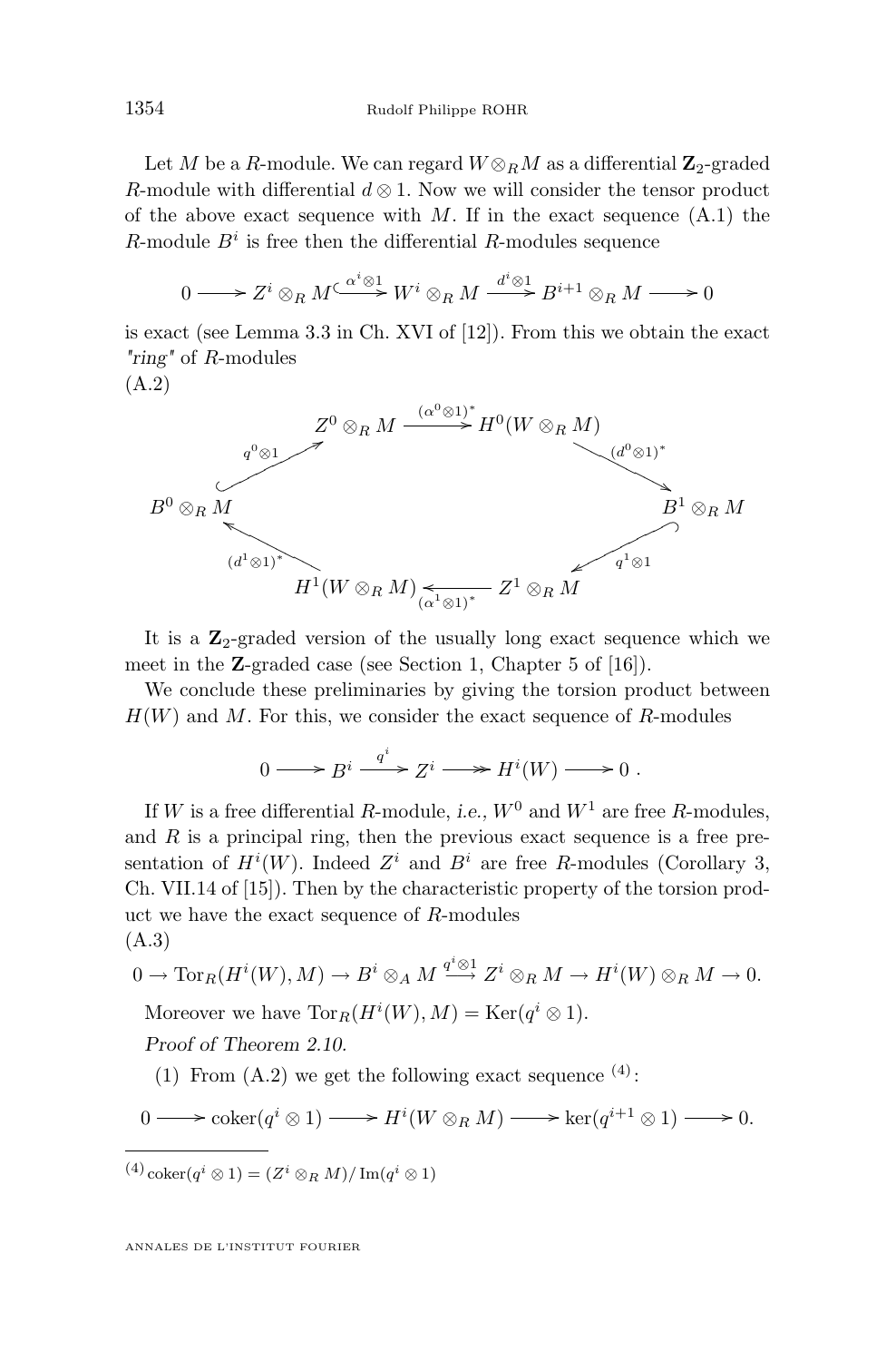<span id="page-18-0"></span>Let M be a R-module. We can regard  $W \otimes_R M$  as a differential  $\mathbb{Z}_2$ -graded R-module with differential  $d \otimes 1$ . Now we will consider the tensor product of the above exact sequence with  $M$ . If in the exact sequence  $(A.1)$  the R-module  $B^i$  is free then the differential R-modules sequence

$$
0 \longrightarrow Z^i \otimes_R M \xrightarrow{\alpha^i \otimes 1} W^i \otimes_R M \xrightarrow{d^i \otimes 1} B^{i+1} \otimes_R M \longrightarrow 0
$$

is exact (see Lemma 3.3 in Ch. XVI of [\[12\]](#page-22-0)). From this we obtain the exact *"ring"* of R-modules

(A.2)



It is a  $\mathbb{Z}_2$ -graded version of the usually long exact sequence which we meet in the Z-graded case (see Section 1, Chapter 5 of [\[16\]](#page-22-0)).

We conclude these preliminaries by giving the torsion product between  $H(W)$  and M. For this, we consider the exact sequence of R-modules

$$
0 \longrightarrow B^i \xrightarrow{q^i} Z^i \longrightarrow H^i(W) \longrightarrow 0.
$$

If W is a free differential R-module, *i.e.*,  $W^0$  and  $W^1$  are free R-modules, and  $R$  is a principal ring, then the previous exact sequence is a free presentation of  $H^i(W)$ . Indeed  $Z^i$  and  $B^i$  are free R-modules (Corollary 3, Ch. VII.14 of [\[15\]](#page-22-0)). Then by the characteristic property of the torsion product we have the exact sequence of R-modules (A.3)

$$
0 \to \operatorname{Tor}_R(H^i(W), M) \to B^i \otimes_A M \xrightarrow{q^i \otimes 1} Z^i \otimes_R M \to H^i(W) \otimes_R M \to 0.
$$

Moreover we have  $\text{Tor}_R(H^i(W), M) = \text{Ker}(q^i \otimes 1)$ .

*Proof of Theorem [2.10.](#page-6-0)*

(1) From  $(A.2)$  we get the following exact sequence  $(4)$ :

$$
0 \longrightarrow \operatorname{coker}(q^i \otimes 1) \longrightarrow H^i(W \otimes_R M) \longrightarrow \operatorname{ker}(q^{i+1} \otimes 1) \longrightarrow 0.
$$

 $^{(4)}$  coker $(q^i \otimes 1) = (Z^i \otimes_R M)/\operatorname{Im}(q^i \otimes 1)$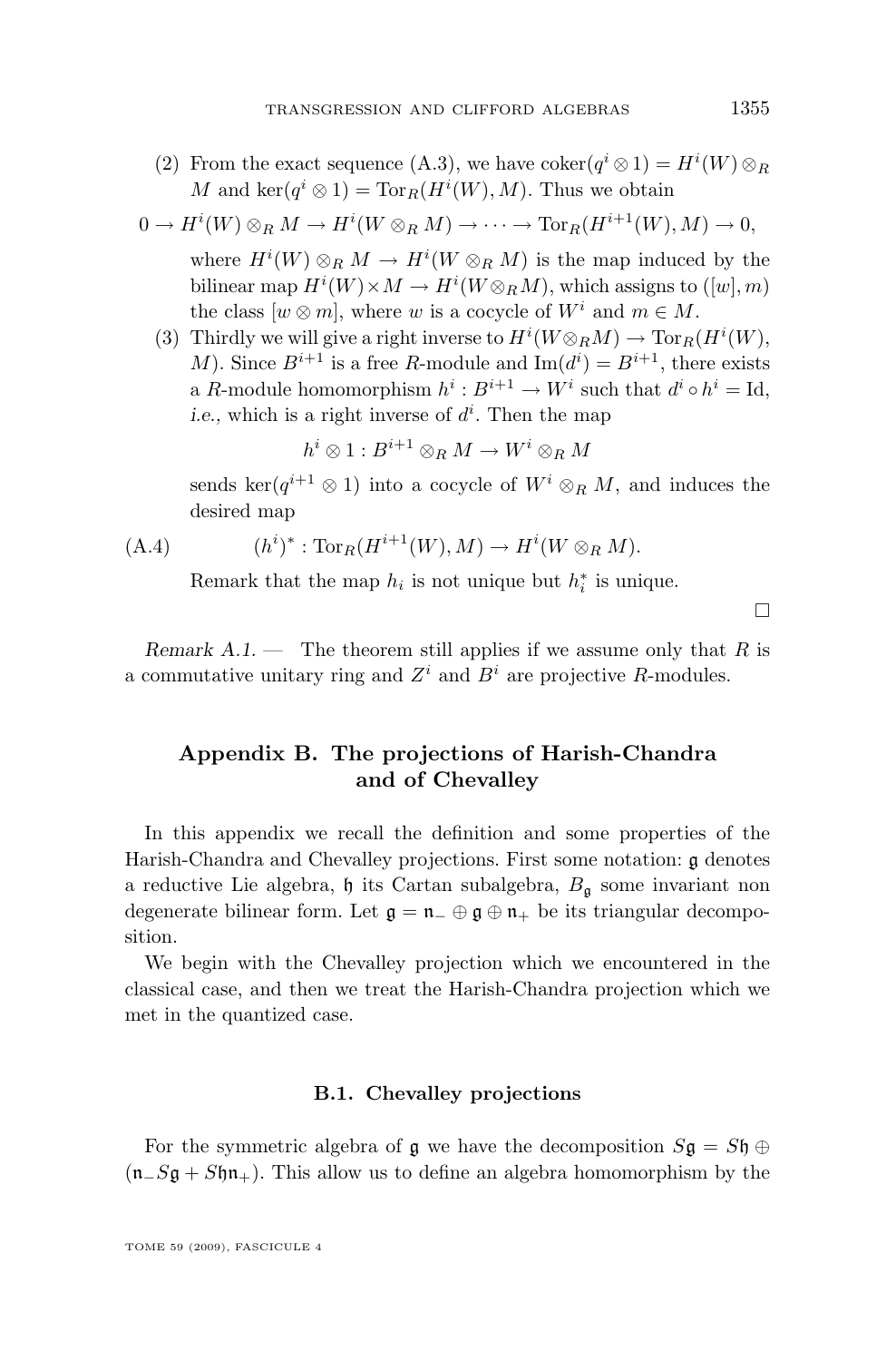<span id="page-19-0"></span>(2) From the exact sequence [\(A.3\)](#page-18-0), we have  $\operatorname{coker}(q^i \otimes 1) = H^i(W) \otimes_R$ M and  $\ker(q^i \otimes 1) = \operatorname{Tor}_R(H^i(W), M)$ . Thus we obtain

$$
0 \to H^i(W) \otimes_R M \to H^i(W \otimes_R M) \to \cdots \to \operatorname{Tor}_R(H^{i+1}(W), M) \to 0,
$$
  
where  $H^i(W) \otimes_R M \to H^i(W \otimes_R M)$  is the map induced by the  
hilinear map  $H^i(W) \times M \to H^i(W \otimes_M M)$ , which series to ([w] m).

bilinear map  $H^i(W) \times M \to H^i(W \otimes_R M)$ , which assigns to  $([w], m)$ the class  $[w \otimes m]$ , where w is a cocycle of  $W^i$  and  $m \in M$ . (3) Thirdly we will give a right inverse to  $H^i(W \otimes_R M) \to \text{Tor}_R(H^i(W),$ 

M). Since  $B^{i+1}$  is a free R-module and  $\text{Im}(d^i) = B^{i+1}$ , there exists a R-module homomorphism  $h^i : B^{i+1} \to W^i$  such that  $d^i \circ h^i = \text{Id},$ *i.e.*, which is a right inverse of  $d^i$ . Then the map

$$
h^i \otimes 1 : B^{i+1} \otimes_R M \to W^i \otimes_R M
$$

sends ker $(q^{i+1} \otimes 1)$  into a cocycle of  $W^i \otimes_R M$ , and induces the desired map

$$
(A.4) \qquad (h^i)^* : \operatorname{Tor}_R(H^{i+1}(W), M) \to H^i(W \otimes_R M).
$$

Remark that the map  $h_i$  is not unique but  $h_i^*$  is unique.

 $\Box$ 

*Remark A.1.* — The theorem still applies if we assume only that R is a commutative unitary ring and  $Z^i$  and  $B^i$  are projective R-modules.

#### **Appendix B. The projections of Harish-Chandra and of Chevalley**

In this appendix we recall the definition and some properties of the Harish-Chandra and Chevalley projections. First some notation: g denotes a reductive Lie algebra,  $\mathfrak h$  its Cartan subalgebra,  $B_{\mathfrak a}$  some invariant non degenerate bilinear form. Let  $\mathfrak{g} = \mathfrak{n}_{-} \oplus \mathfrak{g} \oplus \mathfrak{n}_{+}$  be its triangular decomposition.

We begin with the Chevalley projection which we encountered in the classical case, and then we treat the Harish-Chandra projection which we met in the quantized case.

#### **B.1. Chevalley projections**

For the symmetric algebra of  $\mathfrak g$  we have the decomposition  $S\mathfrak g = S\mathfrak h \oplus$  $(n_S g + S \eta n_+)$ . This allow us to define an algebra homomorphism by the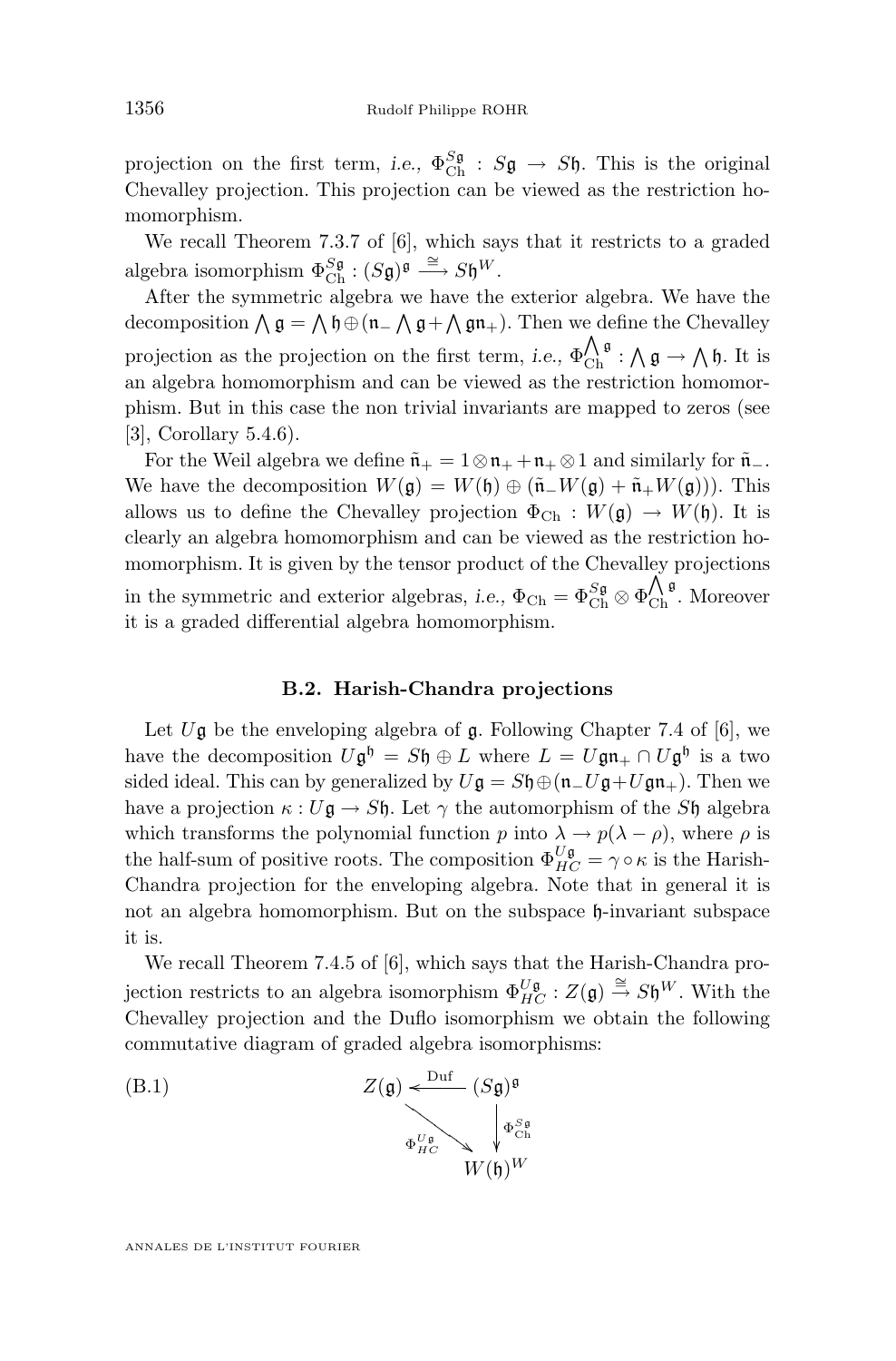projection on the first term, *i.e.*,  $\Phi_{\text{Ch}}^{S\mathfrak{g}} : S\mathfrak{g} \to S\mathfrak{h}$ . This is the original Chevalley projection. This projection can be viewed as the restriction homomorphism.

We recall Theorem 7.3.7 of [\[6\]](#page-21-0), which says that it restricts to a graded algebra isomorphism  $\Phi_{\text{Ch}}^{\text{Sg}} : (S\mathfrak{g})^{\mathfrak{g}} \stackrel{\cong}{\longrightarrow} S\mathfrak{h}^W$ .

After the symmetric algebra we have the exterior algebra. We have the decomposition  $\bigwedge \mathfrak{g} = \bigwedge \mathfrak{h} \oplus (\mathfrak{n}_- \bigwedge \mathfrak{g} + \bigwedge \mathfrak{g} \mathfrak{n}_+).$  Then we define the Chevalley projection as the projection on the first term, *i.e.*,  $\Phi_{\text{Ch}}^{\Lambda, \mathfrak{g}} : \Lambda, \mathfrak{g} \to \Lambda, \mathfrak{h}$ . It is an algebra homomorphism and can be viewed as the restriction homomorphism. But in this case the non trivial invariants are mapped to zeros (see [\[3\]](#page-21-0), Corollary 5.4.6).

For the Weil algebra we define  $\tilde{n}_+ = 1 \otimes n_+ + n_+ \otimes 1$  and similarly for  $\tilde{n}_-$ . We have the decomposition  $W(\mathfrak{g}) = W(\mathfrak{h}) \oplus (\tilde{\mathfrak{n}}_+W(\mathfrak{g}) + \tilde{\mathfrak{n}}_+W(\mathfrak{g}))$ . This allows us to define the Chevalley projection  $\Phi_{Ch} : W(\mathfrak{g}) \to W(\mathfrak{h})$ . It is clearly an algebra homomorphism and can be viewed as the restriction homomorphism. It is given by the tensor product of the Chevalley projections in the symmetric and exterior algebras, *i.e.*,  $\Phi_{Ch} = \Phi_{Ch}^{S_g} \otimes \Phi_{Ch}^{\hat{N}g}$ . Moreover it is a graded differential algebra homomorphism.

#### **B.2. Harish-Chandra projections**

Let  $U\mathfrak{g}$  be the enveloping algebra of  $\mathfrak{g}$ . Following Chapter 7.4 of [\[6\]](#page-21-0), we have the decomposition  $U\mathfrak{g}^{\mathfrak{h}} = S\mathfrak{h} \oplus L$  where  $L = U\mathfrak{g}\mathfrak{n}_{+} \cap U\mathfrak{g}^{\mathfrak{h}}$  is a two sided ideal. This can by generalized by  $U\mathfrak{g} = S\mathfrak{h} \oplus (\mathfrak{n}_-U\mathfrak{g}+U\mathfrak{g}\mathfrak{n}_+).$  Then we have a projection  $\kappa : U\mathfrak{g} \to S\mathfrak{h}$ . Let  $\gamma$  the automorphism of the S $\mathfrak{h}$  algebra which transforms the polynomial function p into  $\lambda \to p(\lambda - \rho)$ , where  $\rho$  is the half-sum of positive roots. The composition  $\Phi_{HC}^{U\mathfrak{g}} = \gamma \circ \kappa$  is the Harish-Chandra projection for the enveloping algebra. Note that in general it is not an algebra homomorphism. But on the subspace h-invariant subspace it is.

We recall Theorem 7.4.5 of [\[6\]](#page-21-0), which says that the Harish-Chandra projection restricts to an algebra isomorphism  $\Phi_{HC}^{U\mathfrak{g}}$  :  $Z(\mathfrak{g}) \stackrel{\cong}{\to} S\mathfrak{h}^W$ . With the Chevalley projection and the Duflo isomorphism we obtain the following commutative diagram of graded algebra isomorphisms:

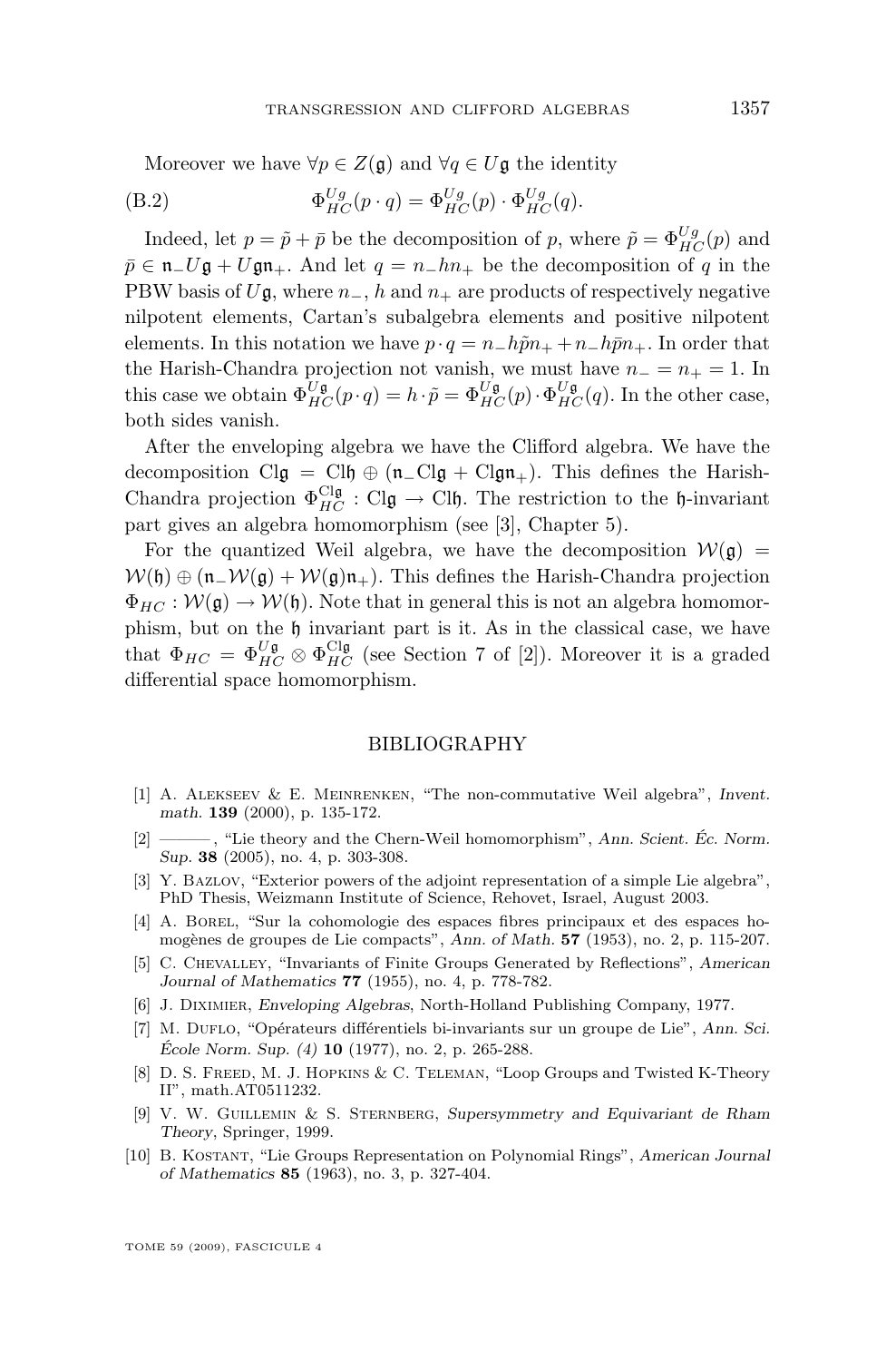<span id="page-21-0"></span>Moreover we have  $\forall p \in Z(\mathfrak{g})$  and  $\forall q \in U\mathfrak{g}$  the identity

(B.2) 
$$
\Phi_{HC}^{Ug}(p \cdot q) = \Phi_{HC}^{Ug}(p) \cdot \Phi_{HC}^{Ug}(q).
$$

Indeed, let  $p = \tilde{p} + \bar{p}$  be the decomposition of p, where  $\tilde{p} = \Phi_{HC}^{Ug}(p)$  and  $\bar{p} \in \mathfrak{n}_- U \mathfrak{g} + U \mathfrak{g} \mathfrak{n}_+$ . And let  $q = n_- h n_+$  be the decomposition of q in the PBW basis of  $U\mathfrak{g}$ , where  $n_-, h$  and  $n_+$  are products of respectively negative nilpotent elements, Cartan's subalgebra elements and positive nilpotent elements. In this notation we have  $p \cdot q = n_-h\tilde{p}n_+ + n_-h\bar{p}n_+$ . In order that the Harish-Chandra projection not vanish, we must have  $n_ - = n_ + = 1$ . In this case we obtain  $\Phi_{HC}^{U\mathfrak{g}}(p \cdot q) = h \cdot \tilde{p} = \Phi_{HC}^{U\mathfrak{g}}(p) \cdot \Phi_{HC}^{U\mathfrak{g}}(q)$ . In the other case, both sides vanish.

After the enveloping algebra we have the Clifford algebra. We have the decomposition Clg = Clh  $\oplus$  (n\_Clg + Clgn<sub>+</sub>). This defines the Harish-Chandra projection  $\Phi_{HC}^{\text{Cl}\mathfrak{g}} : \text{Cl}\mathfrak{g} \to \text{Cl}\mathfrak{h}$ . The restriction to the h-invariant part gives an algebra homomorphism (see [3], Chapter 5).

For the quantized Weil algebra, we have the decomposition  $W(\mathfrak{g}) =$  $W(\mathfrak{h}) \oplus (\mathfrak{n}_-\mathcal{W}(\mathfrak{g}) + \mathcal{W}(\mathfrak{g})\mathfrak{n}_+$ . This defines the Harish-Chandra projection  $\Phi_{HC}: \mathcal{W}(\mathfrak{g}) \to \mathcal{W}(\mathfrak{h})$ . Note that in general this is not an algebra homomorphism, but on the h invariant part is it. As in the classical case, we have that  $\Phi_{HC} = \Phi_{HC}^{U\mathfrak{g}} \otimes \Phi_{HC}^{Cl\mathfrak{g}}$  (see Section 7 of [2]). Moreover it is a graded differential space homomorphism.

#### BIBLIOGRAPHY

- [1] A. Alekseev & E. Meinrenken, "The non-commutative Weil algebra", *Invent. math.* **139** (2000), p. 135-172.
- [2] ——— , "Lie theory and the Chern-Weil homomorphism", *Ann. Scient. Éc. Norm. Sup.* **38** (2005), no. 4, p. 303-308.
- [3] Y. Bazlov, "Exterior powers of the adjoint representation of a simple Lie algebra", PhD Thesis, Weizmann Institute of Science, Rehovet, Israel, August 2003.
- [4] A. Borel, "Sur la cohomologie des espaces fibres principaux et des espaces homogènes de groupes de Lie compacts", *Ann. of Math.* **57** (1953), no. 2, p. 115-207.
- [5] C. Chevalley, "Invariants of Finite Groups Generated by Reflections", *American Journal of Mathematics* **77** (1955), no. 4, p. 778-782.
- [6] J. Diximier, *Enveloping Algebras*, North-Holland Publishing Company, 1977.
- [7] M. Duflo, "Opérateurs différentiels bi-invariants sur un groupe de Lie", *Ann. Sci. École Norm. Sup. (4)* **10** (1977), no. 2, p. 265-288.
- [8] D. S. FREED, M. J. HOPKINS & C. TELEMAN, "Loop Groups and Twisted K-Theory II", math.AT0511232.
- [9] V. W. Guillemin & S. Sternberg, *Supersymmetry and Equivariant de Rham Theory*, Springer, 1999.
- [10] B. Kostant, "Lie Groups Representation on Polynomial Rings", *American Journal of Mathematics* **85** (1963), no. 3, p. 327-404.